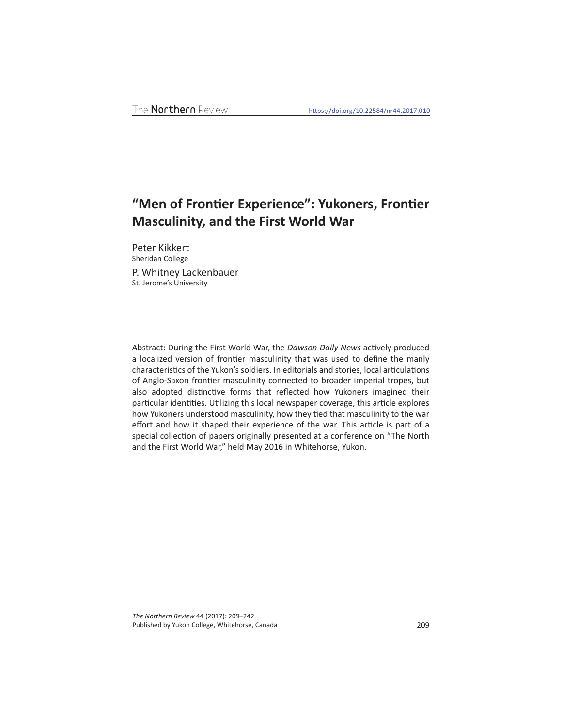# "Men of Frontier Experience": Yukoners, Frontier **Masculinity, and the First World War**

Peter Kikkert Sheridan College P. Whitney Lackenbauer

St. Jerome's University

Abstract: During the First World War, the *Dawson Daily News* actively produced a localized version of frontier masculinity that was used to define the manly characteristics of the Yukon's soldiers. In editorials and stories, local articulations of Anglo-Saxon frontier masculinity connected to broader imperial tropes, but also adopted distinctive forms that reflected how Yukoners imagined their particular identities. Utilizing this local newspaper coverage, this article explores how Yukoners understood masculinity, how they tied that masculinity to the war effort and how it shaped their experience of the war. This article is part of a special collection of papers originally presented at a conference on "The North and the First World War," held May 2016 in Whitehorse, Yukon.

*The Northern Review* 44 (2017): 209–242 Published by Yukon College, Whitehorse, Canada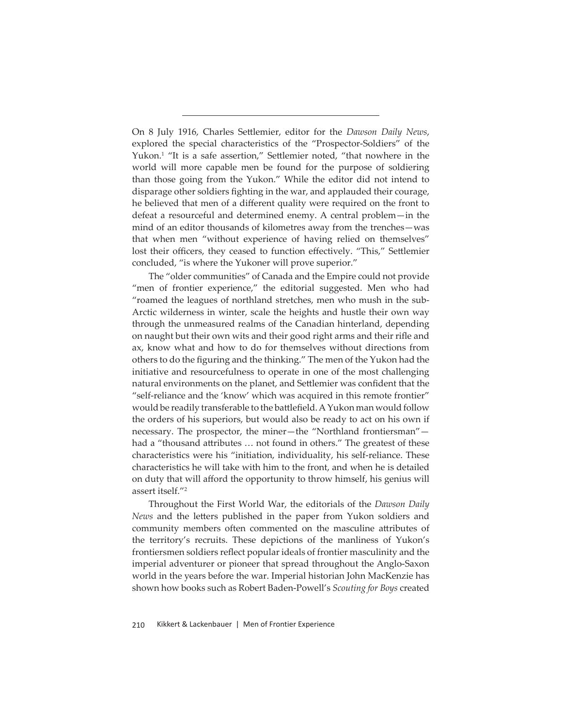On 8 July 1916, Charles Settlemier, editor for the *Dawson Daily News*, explored the special characteristics of the "Prospector-Soldiers" of the Yukon.<sup>1</sup> "It is a safe assertion," Settlemier noted, "that nowhere in the world will more capable men be found for the purpose of soldiering than those going from the Yukon." While the editor did not intend to disparage other soldiers fighting in the war, and applauded their courage, he believed that men of a different quality were required on the front to defeat a resourceful and determined enemy. A central problem—in the mind of an editor thousands of kilometres away from the trenches—was that when men "without experience of having relied on themselves" lost their officers, they ceased to function effectively. "This," Settlemier concluded, "is where the Yukoner will prove superior."

The "older communities" of Canada and the Empire could not provide "men of frontier experience," the editorial suggested. Men who had "roamed the leagues of northland stretches, men who mush in the sub-Arctic wilderness in winter, scale the heights and hustle their own way through the unmeasured realms of the Canadian hinterland, depending on naught but their own wits and their good right arms and their rifle and ax, know what and how to do for themselves without directions from others to do the figuring and the thinking." The men of the Yukon had the initiative and resourcefulness to operate in one of the most challenging natural environments on the planet, and Settlemier was confident that the "self-reliance and the 'know' which was acquired in this remote frontier" would be readily transferable to the battlefield. A Yukon man would follow the orders of his superiors, but would also be ready to act on his own if necessary. The prospector, the miner—the "Northland frontiersman" had a "thousand attributes ... not found in others." The greatest of these characteristics were his "initiation, individuality, his self-reliance. These characteristics he will take with him to the front, and when he is detailed on duty that will afford the opportunity to throw himself, his genius will assert itself."2

Throughout the First World War, the editorials of the *Dawson Daily News* and the letters published in the paper from Yukon soldiers and community members often commented on the masculine attributes of the territory's recruits. These depictions of the manliness of Yukon's frontiersmen soldiers reflect popular ideals of frontier masculinity and the imperial adventurer or pioneer that spread throughout the Anglo-Saxon world in the years before the war. Imperial historian John MacKenzie has shown how books such as Robert Baden-Powell's *Scouting for Boys* created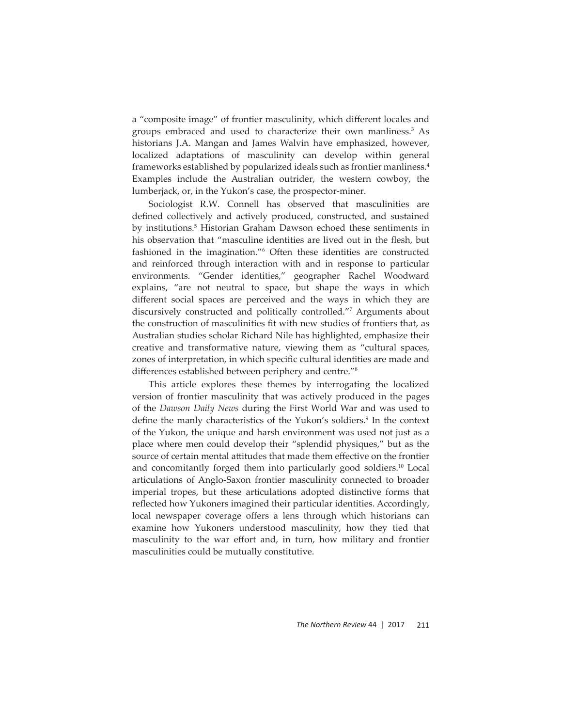a "composite image" of frontier masculinity, which different locales and groups embraced and used to characterize their own manliness.3 As historians J.A. Mangan and James Walvin have emphasized, however, localized adaptations of masculinity can develop within general frameworks established by popularized ideals such as frontier manliness.4 Examples include the Australian outrider, the western cowboy, the lumberjack, or, in the Yukon's case, the prospector-miner.

Sociologist R.W. Connell has observed that masculinities are defined collectively and actively produced, constructed, and sustained by institutions.<sup>5</sup> Historian Graham Dawson echoed these sentiments in his observation that "masculine identities are lived out in the flesh, but fashioned in the imagination."6 Often these identities are constructed and reinforced through interaction with and in response to particular environments. "Gender identities," geographer Rachel Woodward explains, "are not neutral to space, but shape the ways in which different social spaces are perceived and the ways in which they are discursively constructed and politically controlled."7 Arguments about the construction of masculinities fit with new studies of frontiers that, as Australian studies scholar Richard Nile has highlighted, emphasize their creative and transformative nature, viewing them as "cultural spaces, zones of interpretation, in which specific cultural identities are made and differences established between periphery and centre."<sup>8</sup>

This article explores these themes by interrogating the localized version of frontier masculinity that was actively produced in the pages of the *Dawson Daily News* during the First World War and was used to define the manly characteristics of the Yukon's soldiers.<sup>9</sup> In the context of the Yukon, the unique and harsh environment was used not just as a place where men could develop their "splendid physiques," but as the source of certain mental attitudes that made them effective on the frontier and concomitantly forged them into particularly good soldiers.<sup>10</sup> Local articulations of Anglo-Saxon frontier masculinity connected to broader imperial tropes, but these articulations adopted distinctive forms that reflected how Yukoners imagined their particular identities. Accordingly, local newspaper coverage offers a lens through which historians can examine how Yukoners understood masculinity, how they tied that masculinity to the war effort and, in turn, how military and frontier masculinities could be mutually constitutive.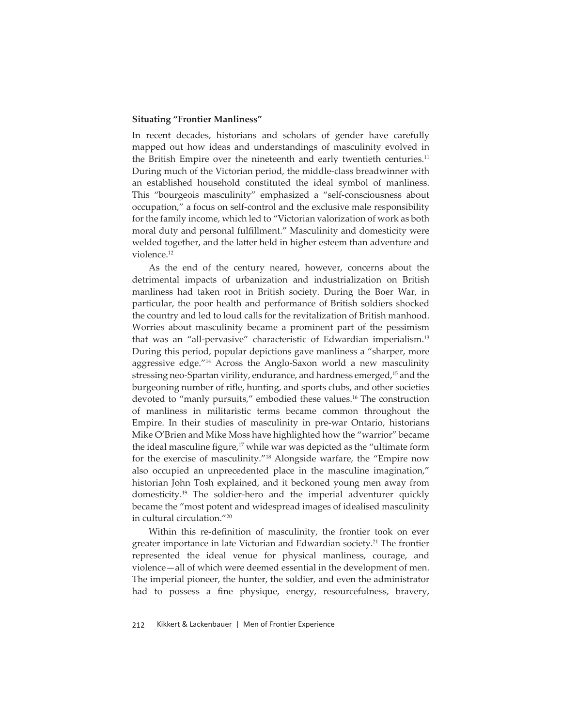### **Situating "Frontier Manliness"**

In recent decades, historians and scholars of gender have carefully mapped out how ideas and understandings of masculinity evolved in the British Empire over the nineteenth and early twentieth centuries.<sup>11</sup> During much of the Victorian period, the middle-class breadwinner with an established household constituted the ideal symbol of manliness. This "bourgeois masculinity" emphasized a "self-consciousness about occupation," a focus on self-control and the exclusive male responsibility for the family income, which led to "Victorian valorization of work as both moral duty and personal fulfillment." Masculinity and domesticity were welded together, and the latter held in higher esteem than adventure and violence.<sup>12</sup>

As the end of the century neared, however, concerns about the detrimental impacts of urbanization and industrialization on British manliness had taken root in British society. During the Boer War, in particular, the poor health and performance of British soldiers shocked the country and led to loud calls for the revitalization of British manhood. Worries about masculinity became a prominent part of the pessimism that was an "all-pervasive" characteristic of Edwardian imperialism.13 During this period, popular depictions gave manliness a "sharper, more aggressive edge."14 Across the Anglo-Saxon world a new masculinity stressing neo-Spartan virility, endurance, and hardness emerged,15 and the burgeoning number of rifle, hunting, and sports clubs, and other societies devoted to "manly pursuits," embodied these values.16 The construction of manliness in militaristic terms became common throughout the Empire. In their studies of masculinity in pre-war Ontario, historians Mike O'Brien and Mike Moss have highlighted how the "warrior" became the ideal masculine figure, $17$  while war was depicted as the "ultimate form for the exercise of masculinity."18 Alongside warfare, the "Empire now also occupied an unprecedented place in the masculine imagination," historian John Tosh explained, and it beckoned young men away from domesticity.19 The soldier-hero and the imperial adventurer quickly became the "most potent and widespread images of idealised masculinity in cultural circulation."20

Within this re-definition of masculinity, the frontier took on ever greater importance in late Victorian and Edwardian society.<sup>21</sup> The frontier represented the ideal venue for physical manliness, courage, and violence—all of which were deemed essential in the development of men. The imperial pioneer, the hunter, the soldier, and even the administrator had to possess a fine physique, energy, resourcefulness, bravery,

212 Kikkert & Lackenbauer | Men of Frontier Experience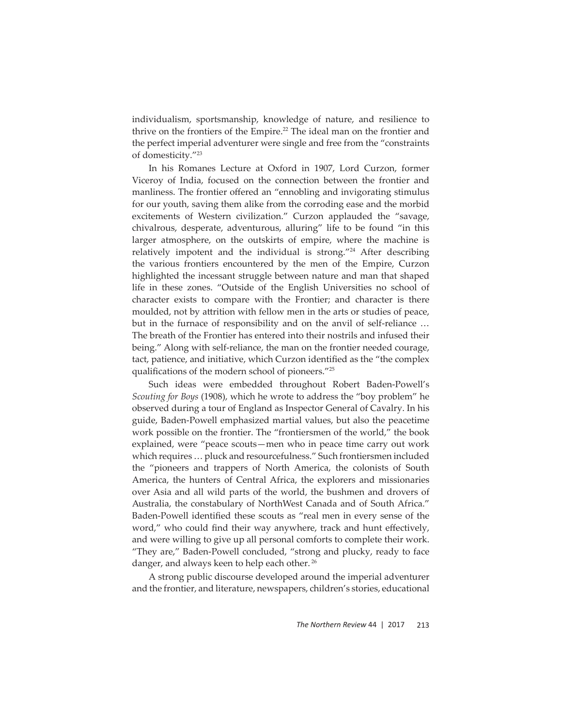individualism, sportsmanship, knowledge of nature, and resilience to thrive on the frontiers of the Empire.<sup>22</sup> The ideal man on the frontier and the perfect imperial adventurer were single and free from the "constraints of domesticity."23

In his Romanes Lecture at Oxford in 1907, Lord Curzon, former Viceroy of India, focused on the connection between the frontier and manliness. The frontier offered an "ennobling and invigorating stimulus for our youth, saving them alike from the corroding ease and the morbid excitements of Western civilization." Curzon applauded the "savage, chivalrous, desperate, adventurous, alluring" life to be found "in this larger atmosphere, on the outskirts of empire, where the machine is relatively impotent and the individual is strong."24 After describing the various frontiers encountered by the men of the Empire, Curzon highlighted the incessant struggle between nature and man that shaped life in these zones. "Outside of the English Universities no school of character exists to compare with the Frontier; and character is there moulded, not by attrition with fellow men in the arts or studies of peace, but in the furnace of responsibility and on the anvil of self-reliance … The breath of the Frontier has entered into their nostrils and infused their being." Along with self-reliance, the man on the frontier needed courage, tact, patience, and initiative, which Curzon identified as the "the complex qualifications of the modern school of pioneers."<sup>25</sup>

Such ideas were embedded throughout Robert Baden-Powell's *Scouting for Boys* (1908), which he wrote to address the "boy problem" he observed during a tour of England as Inspector General of Cavalry. In his guide, Baden-Powell emphasized martial values, but also the peacetime work possible on the frontier. The "frontiersmen of the world," the book explained, were "peace scouts—men who in peace time carry out work which requires … pluck and resourcefulness." Such frontiersmen included the "pioneers and trappers of North America, the colonists of South America, the hunters of Central Africa, the explorers and missionaries over Asia and all wild parts of the world, the bushmen and drovers of Australia, the constabulary of NorthWest Canada and of South Africa." Baden-Powell identified these scouts as "real men in every sense of the word," who could find their way anywhere, track and hunt effectively, and were willing to give up all personal comforts to complete their work. "They are," Baden-Powell concluded, "strong and plucky, ready to face danger, and always keen to help each other. 26

A strong public discourse developed around the imperial adventurer and the frontier, and literature, newspapers, children's stories, educational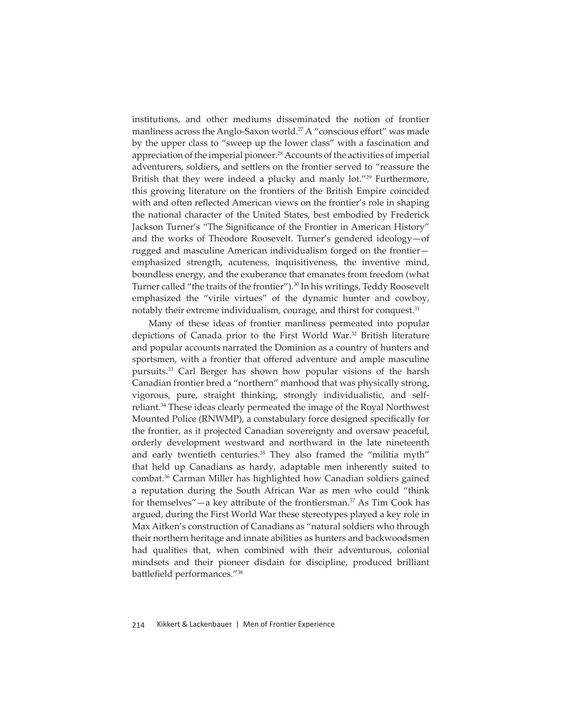institutions, and other mediums disseminated the notion of frontier manliness across the Anglo-Saxon world.<sup>27</sup> A "conscious effort" was made by the upper class to "sweep up the lower class" with a fascination and appreciation of the imperial pioneer.<sup>28</sup> Accounts of the activities of imperial adventurers, soldiers, and settlers on the frontier served to "reassure the British that they were indeed a plucky and manly lot."<sup>29</sup> Furthermore, this growing literature on the frontiers of the British Empire coincided with and often reflected American views on the frontier's role in shaping the national character of the United States, best embodied by Frederick Jackson Turner's "The Significance of the Frontier in American History" and the works of Theodore Roosevelt. Turner's gendered ideology—of rugged and masculine American individualism forged on the frontier emphasized strength, acuteness, inquisitiveness, the inventive mind, boundless energy, and the exuberance that emanates from freedom (what Turner called "the traits of the frontier").<sup>30</sup> In his writings, Teddy Roosevelt emphasized the "virile virtues" of the dynamic hunter and cowboy, notably their extreme individualism, courage, and thirst for conquest.<sup>31</sup>

Many of these ideas of frontier manliness permeated into popular depictions of Canada prior to the First World War.<sup>32</sup> British literature and popular accounts narrated the Dominion as a country of hunters and sportsmen, with a frontier that offered adventure and ample masculine pursuits.33 Carl Berger has shown how popular visions of the harsh Canadian frontier bred a "northern" manhood that was physically strong, vigorous, pure, straight thinking, strongly individualistic, and selfreliant.<sup>34</sup> These ideas clearly permeated the image of the Royal Northwest Mounted Police (RNWMP), a constabulary force designed specifically for the frontier, as it projected Canadian sovereignty and oversaw peaceful, orderly development westward and northward in the late nineteenth and early twentieth centuries.<sup>35</sup> They also framed the "militia myth" that held up Canadians as hardy, adaptable men inherently suited to combat.36 Carman Miller has highlighted how Canadian soldiers gained a reputation during the South African War as men who could "think for themselves" $-a$  key attribute of the frontiersman.<sup>37</sup> As Tim Cook has argued, during the First World War these stereotypes played a key role in Max Aitken's construction of Canadians as "natural soldiers who through their northern heritage and innate abilities as hunters and backwoodsmen had qualities that, when combined with their adventurous, colonial mindsets and their pioneer disdain for discipline, produced brilliant battlefield performances."38

214 Kikkert & Lackenbauer | Men of Frontier Experience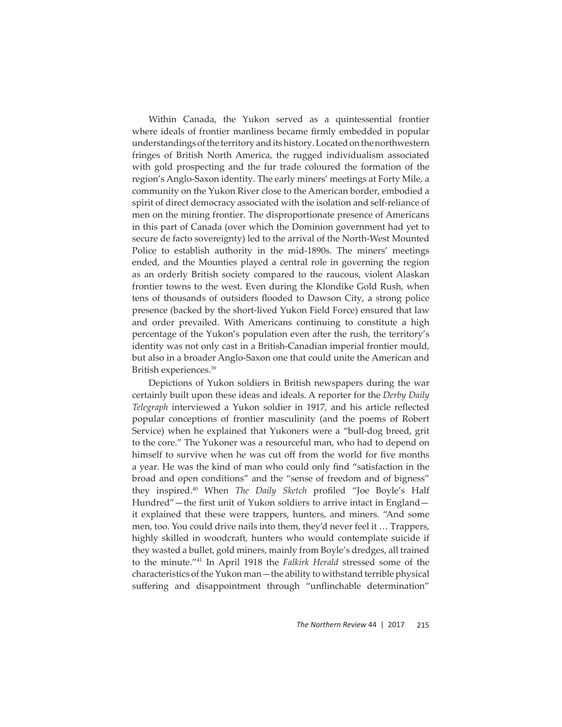Within Canada, the Yukon served as a quintessential frontier where ideals of frontier manliness became firmly embedded in popular understandings of the territory and its history. Located on the northwestern fringes of British North America, the rugged individualism associated with gold prospecting and the fur trade coloured the formation of the region's Anglo-Saxon identity. The early miners' meetings at Forty Mile, a community on the Yukon River close to the American border, embodied a spirit of direct democracy associated with the isolation and self-reliance of men on the mining frontier. The disproportionate presence of Americans in this part of Canada (over which the Dominion government had yet to secure de facto sovereignty) led to the arrival of the North-West Mounted Police to establish authority in the mid-1890s. The miners' meetings ended, and the Mounties played a central role in governing the region as an orderly British society compared to the raucous, violent Alaskan frontier towns to the west. Even during the Klondike Gold Rush, when tens of thousands of outsiders flooded to Dawson City, a strong police presence (backed by the short-lived Yukon Field Force) ensured that law and order prevailed. With Americans continuing to constitute a high percentage of the Yukon's population even after the rush, the territory's identity was not only cast in a British-Canadian imperial frontier mould, but also in a broader Anglo-Saxon one that could unite the American and British experiences.39

Depictions of Yukon soldiers in British newspapers during the war certainly built upon these ideas and ideals. A reporter for the *Derby Daily*  Telegraph interviewed a Yukon soldier in 1917, and his article reflected popular conceptions of frontier masculinity (and the poems of Robert Service) when he explained that Yukoners were a "bull-dog breed, grit to the core." The Yukoner was a resourceful man, who had to depend on himself to survive when he was cut off from the world for five months a year. He was the kind of man who could only find "satisfaction in the broad and open conditions" and the "sense of freedom and of bigness" they inspired.<sup>40</sup> When *The Daily Sketch* profiled "Joe Boyle's Half Hundred"—the first unit of Yukon soldiers to arrive intact in England it explained that these were trappers, hunters, and miners. "And some men, too. You could drive nails into them, they'd never feel it … Trappers, highly skilled in woodcraft, hunters who would contemplate suicide if they wasted a bullet, gold miners, mainly from Boyle's dredges, all trained to the minute."41 In April 1918 the *Falkirk Herald* stressed some of the characteristics of the Yukon man—the ability to withstand terrible physical suffering and disappointment through "unflinchable determination"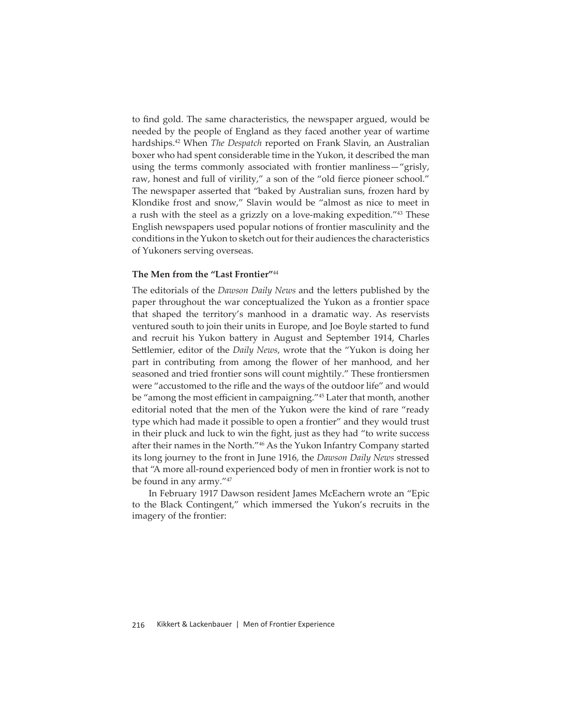to find gold. The same characteristics, the newspaper argued, would be needed by the people of England as they faced another year of wartime hardships.42 When *The Despatch* reported on Frank Slavin, an Australian boxer who had spent considerable time in the Yukon, it described the man using the terms commonly associated with frontier manliness—"grisly, raw, honest and full of virility," a son of the "old fierce pioneer school." The newspaper asserted that "baked by Australian suns, frozen hard by Klondike frost and snow," Slavin would be "almost as nice to meet in a rush with the steel as a grizzly on a love-making expedition."43 These English newspapers used popular notions of frontier masculinity and the conditions in the Yukon to sketch out for their audiences the characteristics of Yukoners serving overseas.

## **The Men from the "Last Frontier"**<sup>44</sup>

The editorials of the *Dawson Daily News* and the letters published by the paper throughout the war conceptualized the Yukon as a frontier space that shaped the territory's manhood in a dramatic way. As reservists ventured south to join their units in Europe, and Joe Boyle started to fund and recruit his Yukon battery in August and September 1914, Charles Settlemier, editor of the *Daily News*, wrote that the "Yukon is doing her part in contributing from among the flower of her manhood, and her seasoned and tried frontier sons will count mightily." These frontiersmen were "accustomed to the rifle and the ways of the outdoor life" and would be "among the most efficient in campaigning."<sup>45</sup> Later that month, another editorial noted that the men of the Yukon were the kind of rare "ready type which had made it possible to open a frontier" and they would trust in their pluck and luck to win the fight, just as they had "to write success after their names in the North."46 As the Yukon Infantry Company started its long journey to the front in June 1916, the *Dawson Daily News* stressed that "A more all-round experienced body of men in frontier work is not to be found in any army."47

In February 1917 Dawson resident James McEachern wrote an "Epic to the Black Contingent," which immersed the Yukon's recruits in the imagery of the frontier: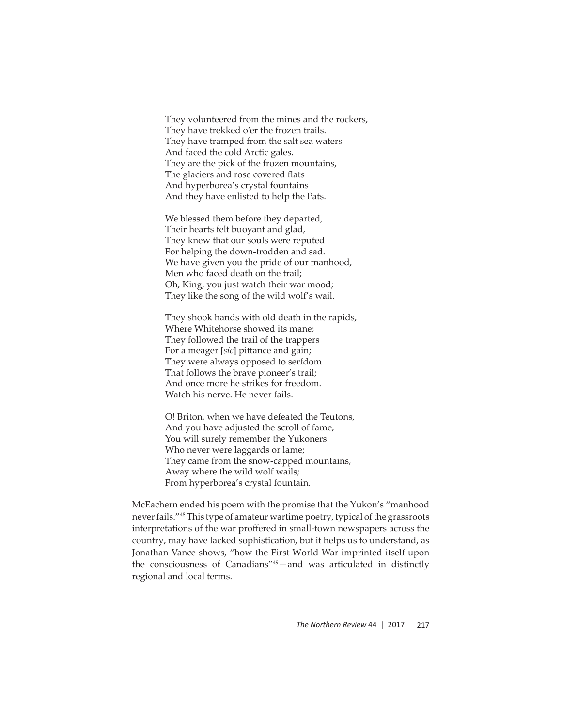They volunteered from the mines and the rockers, They have trekked o'er the frozen trails. They have tramped from the salt sea waters And faced the cold Arctic gales. They are the pick of the frozen mountains, The glaciers and rose covered flats And hyperborea's crystal fountains And they have enlisted to help the Pats.

We blessed them before they departed, Their hearts felt buoyant and glad, They knew that our souls were reputed For helping the down-trodden and sad. We have given you the pride of our manhood, Men who faced death on the trail; Oh, King, you just watch their war mood; They like the song of the wild wolf's wail.

They shook hands with old death in the rapids, Where Whitehorse showed its mane; They followed the trail of the trappers For a meager [sic] pittance and gain; They were always opposed to serfdom That follows the brave pioneer's trail; And once more he strikes for freedom. Watch his nerve. He never fails.

O! Briton, when we have defeated the Teutons, And you have adjusted the scroll of fame, You will surely remember the Yukoners Who never were laggards or lame; They came from the snow-capped mountains, Away where the wild wolf wails; From hyperborea's crystal fountain.

McEachern ended his poem with the promise that the Yukon's "manhood never fails."48 This type of amateur wartime poetry, typical of the grassroots interpretations of the war proffered in small-town newspapers across the country, may have lacked sophistication, but it helps us to understand, as Jonathan Vance shows, "how the First World War imprinted itself upon the consciousness of Canadians"49—and was articulated in distinctly regional and local terms.

*The Northern Review* 44 | 2017 217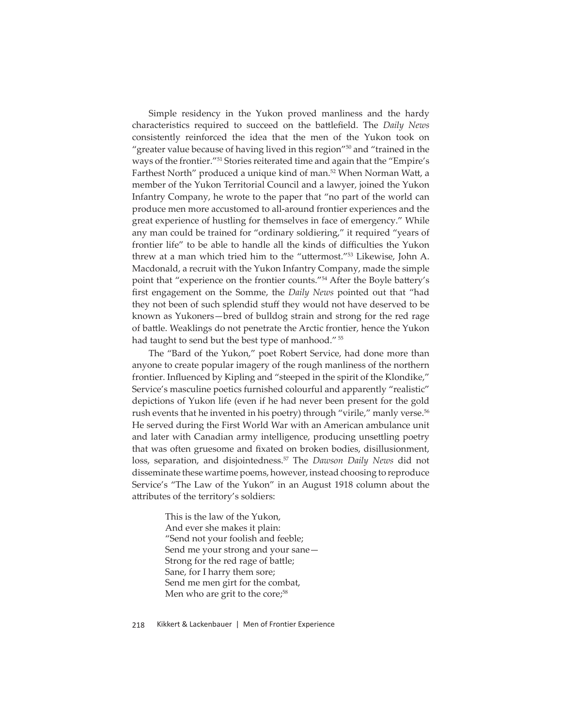Simple residency in the Yukon proved manliness and the hardy characteristics required to succeed on the battlefield. The *Daily News* consistently reinforced the idea that the men of the Yukon took on "greater value because of having lived in this region"<sup>50</sup> and "trained in the ways of the frontier."51 Stories reiterated time and again that the "Empire's Farthest North" produced a unique kind of man.<sup>52</sup> When Norman Watt, a member of the Yukon Territorial Council and a lawyer, joined the Yukon Infantry Company, he wrote to the paper that "no part of the world can produce men more accustomed to all-around frontier experiences and the great experience of hustling for themselves in face of emergency." While any man could be trained for "ordinary soldiering," it required "years of frontier life" to be able to handle all the kinds of difficulties the Yukon threw at a man which tried him to the "uttermost."<sup>53</sup> Likewise, John A. Macdonald, a recruit with the Yukon Infantry Company, made the simple point that "experience on the frontier counts."<sup>54</sup> After the Boyle battery's first engagement on the Somme, the *Daily News* pointed out that "had they not been of such splendid stuff they would not have deserved to be known as Yukoners—bred of bulldog strain and strong for the red rage of battle. Weaklings do not penetrate the Arctic frontier, hence the Yukon had taught to send but the best type of manhood."<sup>55</sup>

The "Bard of the Yukon," poet Robert Service, had done more than anyone to create popular imagery of the rough manliness of the northern frontier. Influenced by Kipling and "steeped in the spirit of the Klondike," Service's masculine poetics furnished colourful and apparently "realistic" depictions of Yukon life (even if he had never been present for the gold rush events that he invented in his poetry) through "virile," manly verse.<sup>56</sup> He served during the First World War with an American ambulance unit and later with Canadian army intelligence, producing unsettling poetry that was often gruesome and fixated on broken bodies, disillusionment, loss, separation, and disjointedness.<sup>57</sup> The *Dawson Daily News* did not disseminate these wartime poems, however, instead choosing to reproduce Service's "The Law of the Yukon" in an August 1918 column about the attributes of the territory's soldiers:

> This is the law of the Yukon, And ever she makes it plain: "Send not your foolish and feeble; Send me your strong and your sane— Strong for the red rage of battle; Sane, for I harry them sore; Send me men girt for the combat, Men who are grit to the core;<sup>58</sup>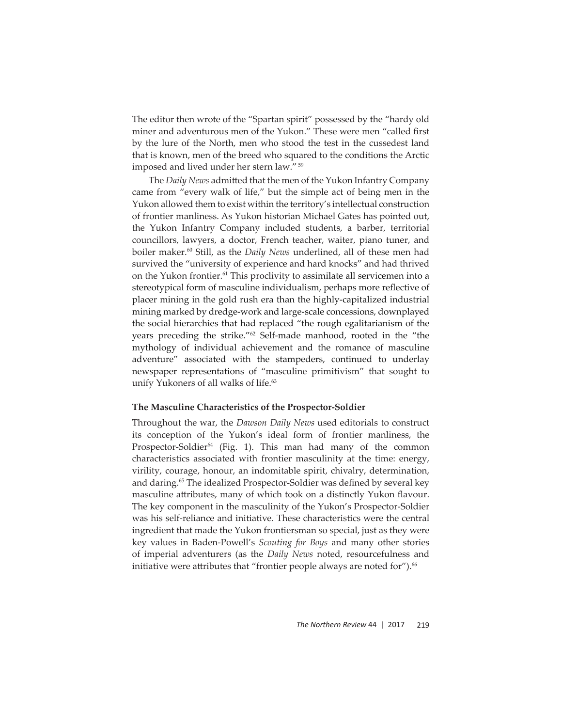The editor then wrote of the "Spartan spirit" possessed by the "hardy old miner and adventurous men of the Yukon." These were men "called first by the lure of the North, men who stood the test in the cussedest land that is known, men of the breed who squared to the conditions the Arctic imposed and lived under her stern law." 59

The *Daily News* admitted that the men of the Yukon Infantry Company came from "every walk of life," but the simple act of being men in the Yukon allowed them to exist within the territory's intellectual construction of frontier manliness. As Yukon historian Michael Gates has pointed out, the Yukon Infantry Company included students, a barber, territorial councillors, lawyers, a doctor, French teacher, waiter, piano tuner, and boiler maker.<sup>60</sup> Still, as the *Daily News* underlined, all of these men had survived the "university of experience and hard knocks" and had thrived on the Yukon frontier.<sup>61</sup> This proclivity to assimilate all servicemen into a stereotypical form of masculine individualism, perhaps more reflective of placer mining in the gold rush era than the highly-capitalized industrial mining marked by dredge-work and large-scale concessions, downplayed the social hierarchies that had replaced "the rough egalitarianism of the years preceding the strike."62 Self-made manhood, rooted in the "the mythology of individual achievement and the romance of masculine adventure" associated with the stampeders, continued to underlay newspaper representations of "masculine primitivism" that sought to unify Yukoners of all walks of life.<sup>63</sup>

#### **The Masculine Characteristics of the Prospector-Soldier**

Throughout the war, the *Dawson Daily News* used editorials to construct its conception of the Yukon's ideal form of frontier manliness, the Prospector-Soldier<sup>64</sup> (Fig. 1). This man had many of the common characteristics associated with frontier masculinity at the time: energy, virility, courage, honour, an indomitable spirit, chivalry, determination, and daring.<sup>65</sup> The idealized Prospector-Soldier was defined by several key masculine attributes, many of which took on a distinctly Yukon flavour. The key component in the masculinity of the Yukon's Prospector-Soldier was his self-reliance and initiative. These characteristics were the central ingredient that made the Yukon frontiersman so special, just as they were key values in Baden-Powell's *Scouting for Boys* and many other stories of imperial adventurers (as the *Daily News* noted, resourcefulness and initiative were attributes that "frontier people always are noted for").<sup>66</sup>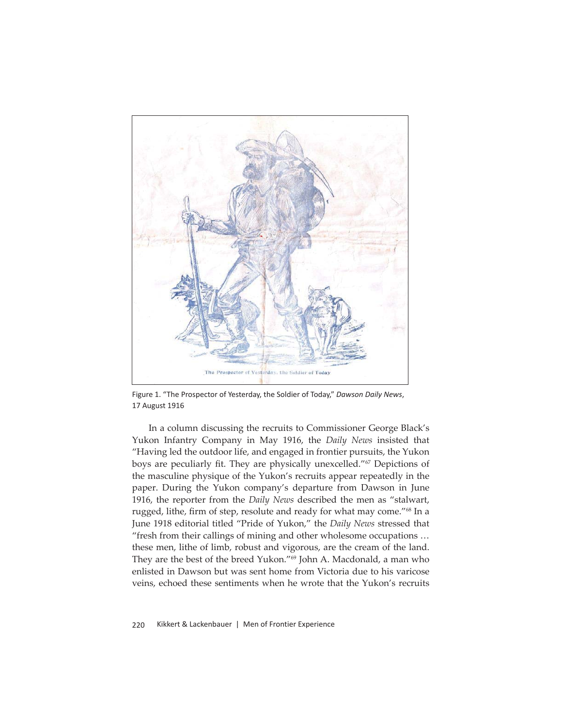

Figure 1. "The Prospector of Yesterday, the Soldier of Today," *Dawson Daily News*, 17 August 1916

In a column discussing the recruits to Commissioner George Black's Yukon Infantry Company in May 1916, the *Daily News* insisted that "Having led the outdoor life, and engaged in frontier pursuits, the Yukon boys are peculiarly fit. They are physically unexcelled."<sup>67</sup> Depictions of the masculine physique of the Yukon's recruits appear repeatedly in the paper. During the Yukon company's departure from Dawson in June 1916, the reporter from the *Daily News* described the men as "stalwart, rugged, lithe, firm of step, resolute and ready for what may come."<sup>68</sup> In a June 1918 editorial titled "Pride of Yukon," the *Daily News* stressed that "fresh from their callings of mining and other wholesome occupations … these men, lithe of limb, robust and vigorous, are the cream of the land. They are the best of the breed Yukon."69 John A. Macdonald, a man who enlisted in Dawson but was sent home from Victoria due to his varicose veins, echoed these sentiments when he wrote that the Yukon's recruits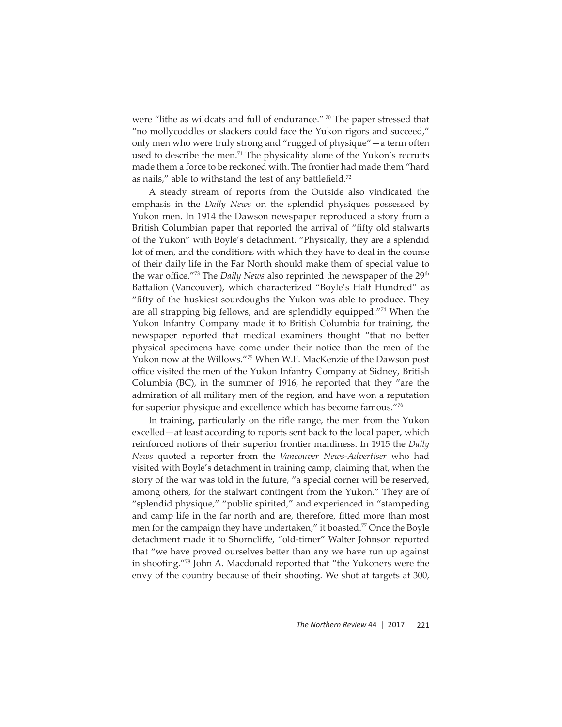were "lithe as wildcats and full of endurance." 70 The paper stressed that "no mollycoddles or slackers could face the Yukon rigors and succeed," only men who were truly strong and "rugged of physique"—a term often used to describe the men.<sup>71</sup> The physicality alone of the Yukon's recruits made them a force to be reckoned with. The frontier had made them "hard as nails," able to withstand the test of any battlefield. $72$ 

A steady stream of reports from the Outside also vindicated the emphasis in the *Daily News* on the splendid physiques possessed by Yukon men. In 1914 the Dawson newspaper reproduced a story from a British Columbian paper that reported the arrival of "fifty old stalwarts of the Yukon" with Boyle's detachment. "Physically, they are a splendid lot of men, and the conditions with which they have to deal in the course of their daily life in the Far North should make them of special value to the war office.<sup>"73</sup> The *Daily News* also reprinted the newspaper of the 29<sup>th</sup> Battalion (Vancouver), which characterized "Boyle's Half Hundred" as "fifty of the huskiest sourdoughs the Yukon was able to produce. They are all strapping big fellows, and are splendidly equipped."74 When the Yukon Infantry Company made it to British Columbia for training, the newspaper reported that medical examiners thought "that no better physical specimens have come under their notice than the men of the Yukon now at the Willows."75 When W.F. MacKenzie of the Dawson post office visited the men of the Yukon Infantry Company at Sidney, British Columbia (BC), in the summer of 1916, he reported that they "are the admiration of all military men of the region, and have won a reputation for superior physique and excellence which has become famous."76

In training, particularly on the rifle range, the men from the Yukon excelled—at least according to reports sent back to the local paper, which reinforced notions of their superior frontier manliness. In 1915 the *Daily News* quoted a reporter from the *Vancouver News-Advertiser* who had visited with Boyle's detachment in training camp, claiming that, when the story of the war was told in the future, "a special corner will be reserved, among others, for the stalwart contingent from the Yukon." They are of "splendid physique," "public spirited," and experienced in "stampeding and camp life in the far north and are, therefore, fitted more than most men for the campaign they have undertaken," it boasted.<sup>77</sup> Once the Boyle detachment made it to Shorncliffe, "old-timer" Walter Johnson reported that "we have proved ourselves better than any we have run up against in shooting."78 John A. Macdonald reported that "the Yukoners were the envy of the country because of their shooting. We shot at targets at 300,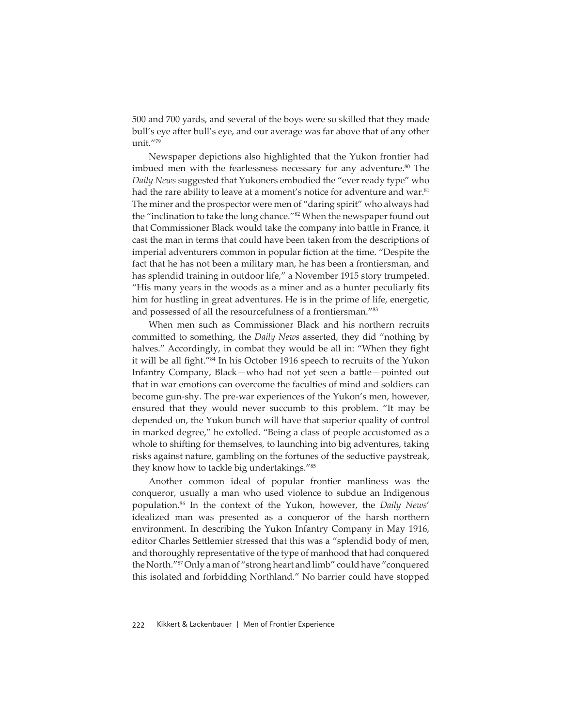500 and 700 yards, and several of the boys were so skilled that they made bull's eye after bull's eye, and our average was far above that of any other unit."79

Newspaper depictions also highlighted that the Yukon frontier had imbued men with the fearlessness necessary for any adventure.<sup>80</sup> The *Daily News* suggested that Yukoners embodied the "ever ready type" who had the rare ability to leave at a moment's notice for adventure and war.<sup>81</sup> The miner and the prospector were men of "daring spirit" who always had the "inclination to take the long chance."<sup>82</sup> When the newspaper found out that Commissioner Black would take the company into battle in France, it cast the man in terms that could have been taken from the descriptions of imperial adventurers common in popular fiction at the time. "Despite the fact that he has not been a military man, he has been a frontiersman, and has splendid training in outdoor life," a November 1915 story trumpeted. "His many years in the woods as a miner and as a hunter peculiarly fits him for hustling in great adventures. He is in the prime of life, energetic, and possessed of all the resourcefulness of a frontiersman."<sup>83</sup>

When men such as Commissioner Black and his northern recruits committed to something, the *Daily News* asserted, they did "nothing by halves." Accordingly, in combat they would be all in: "When they fight it will be all fight."<sup>84</sup> In his October 1916 speech to recruits of the Yukon Infantry Company, Black—who had not yet seen a battle—pointed out that in war emotions can overcome the faculties of mind and soldiers can become gun-shy. The pre-war experiences of the Yukon's men, however, ensured that they would never succumb to this problem. "It may be depended on, the Yukon bunch will have that superior quality of control in marked degree," he extolled. "Being a class of people accustomed as a whole to shifting for themselves, to launching into big adventures, taking risks against nature, gambling on the fortunes of the seductive paystreak, they know how to tackle big undertakings."85

Another common ideal of popular frontier manliness was the conqueror, usually a man who used violence to subdue an Indigenous population.86 In the context of the Yukon, however, the *Daily News*' idealized man was presented as a conqueror of the harsh northern environment. In describing the Yukon Infantry Company in May 1916, editor Charles Settlemier stressed that this was a "splendid body of men, and thoroughly representative of the type of manhood that had conquered the North."87 Only a man of "strong heart and limb" could have "conquered this isolated and forbidding Northland." No barrier could have stopped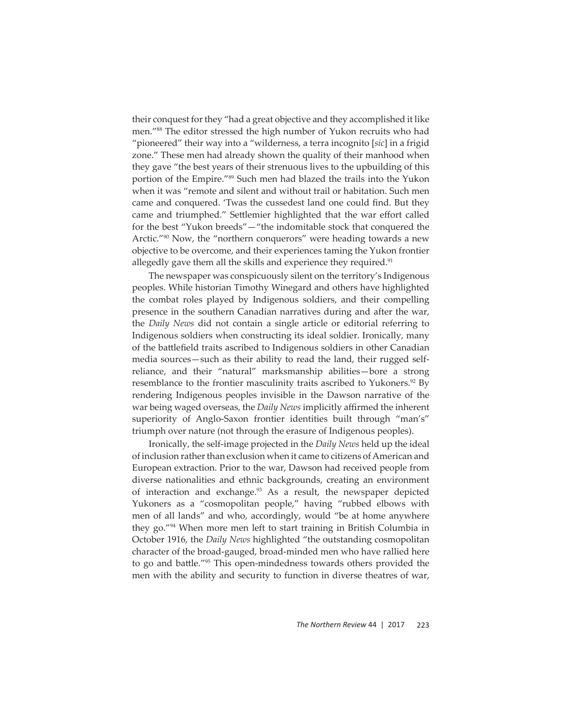their conquest for they "had a great objective and they accomplished it like men."88 The editor stressed the high number of Yukon recruits who had "pioneered" their way into a "wilderness, a terra incognito [*sic*] in a frigid zone." These men had already shown the quality of their manhood when they gave "the best years of their strenuous lives to the upbuilding of this portion of the Empire."89 Such men had blazed the trails into the Yukon when it was "remote and silent and without trail or habitation. Such men came and conquered. 'Twas the cussedest land one could find. But they came and triumphed." Settlemier highlighted that the war effort called for the best "Yukon breeds"—"the indomitable stock that conquered the Arctic."<sup>90</sup> Now, the "northern conquerors" were heading towards a new objective to be overcome, and their experiences taming the Yukon frontier allegedly gave them all the skills and experience they required.<sup>91</sup>

The newspaper was conspicuously silent on the territory's Indigenous peoples. While historian Timothy Winegard and others have highlighted the combat roles played by Indigenous soldiers, and their compelling presence in the southern Canadian narratives during and after the war, the *Daily News* did not contain a single article or editorial referring to Indigenous soldiers when constructing its ideal soldier. Ironically, many of the battlefield traits ascribed to Indigenous soldiers in other Canadian media sources—such as their ability to read the land, their rugged selfreliance, and their "natural" marksmanship abilities—bore a strong resemblance to the frontier masculinity traits ascribed to Yukoners.<sup>92</sup> By rendering Indigenous peoples invisible in the Dawson narrative of the war being waged overseas, the *Daily News* implicitly affirmed the inherent superiority of Anglo-Saxon frontier identities built through "man's" triumph over nature (not through the erasure of Indigenous peoples).

Ironically, the self-image projected in the *Daily News* held up the ideal of inclusion rather than exclusion when it came to citizens of American and European extraction. Prior to the war, Dawson had received people from diverse nationalities and ethnic backgrounds, creating an environment of interaction and exchange.<sup>93</sup> As a result, the newspaper depicted Yukoners as a "cosmopolitan people," having "rubbed elbows with men of all lands" and who, accordingly, would "be at home anywhere they go."94 When more men left to start training in British Columbia in October 1916, the *Daily News* highlighted "the outstanding cosmopolitan character of the broad-gauged, broad-minded men who have rallied here to go and battle."<sup>95</sup> This open-mindedness towards others provided the men with the ability and security to function in diverse theatres of war,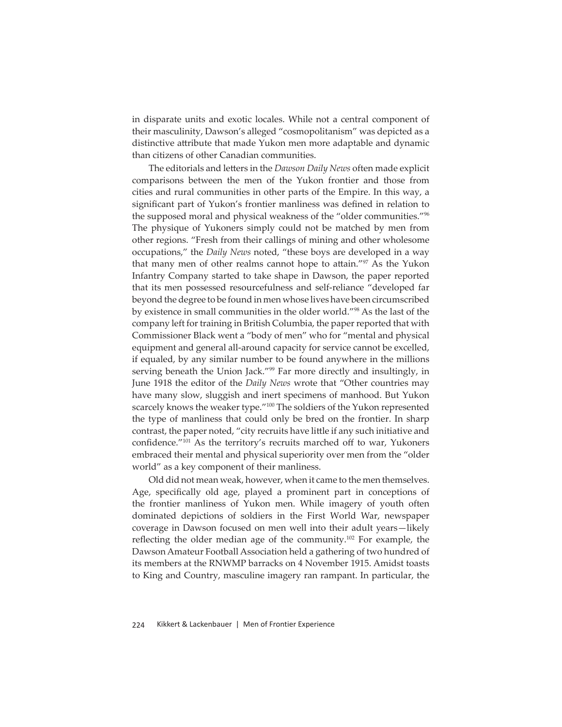in disparate units and exotic locales. While not a central component of their masculinity, Dawson's alleged "cosmopolitanism" was depicted as a distinctive attribute that made Yukon men more adaptable and dynamic than citizens of other Canadian communities.

The editorials and letters in the *Dawson Daily News* often made explicit comparisons between the men of the Yukon frontier and those from cities and rural communities in other parts of the Empire. In this way, a significant part of Yukon's frontier manliness was defined in relation to the supposed moral and physical weakness of the "older communities."96 The physique of Yukoners simply could not be matched by men from other regions. "Fresh from their callings of mining and other wholesome occupations," the *Daily News* noted, "these boys are developed in a way that many men of other realms cannot hope to attain."<sup>97</sup> As the Yukon Infantry Company started to take shape in Dawson, the paper reported that its men possessed resourcefulness and self-reliance "developed far beyond the degree to be found in men whose lives have been circumscribed by existence in small communities in the older world."98 As the last of the company left for training in British Columbia, the paper reported that with Commissioner Black went a "body of men" who for "mental and physical equipment and general all-around capacity for service cannot be excelled, if equaled, by any similar number to be found anywhere in the millions serving beneath the Union Jack."<sup>99</sup> Far more directly and insultingly, in June 1918 the editor of the *Daily News* wrote that "Other countries may have many slow, sluggish and inert specimens of manhood. But Yukon scarcely knows the weaker type."<sup>100</sup> The soldiers of the Yukon represented the type of manliness that could only be bred on the frontier. In sharp contrast, the paper noted, "city recruits have little if any such initiative and confidence."<sup>101</sup> As the territory's recruits marched off to war, Yukoners embraced their mental and physical superiority over men from the "older world" as a key component of their manliness.

Old did not mean weak, however, when it came to the men themselves. Age, specifically old age, played a prominent part in conceptions of the frontier manliness of Yukon men. While imagery of youth often dominated depictions of soldiers in the First World War, newspaper coverage in Dawson focused on men well into their adult years—likely reflecting the older median age of the community.<sup>102</sup> For example, the Dawson Amateur Football Association held a gathering of two hundred of its members at the RNWMP barracks on 4 November 1915. Amidst toasts to King and Country, masculine imagery ran rampant. In particular, the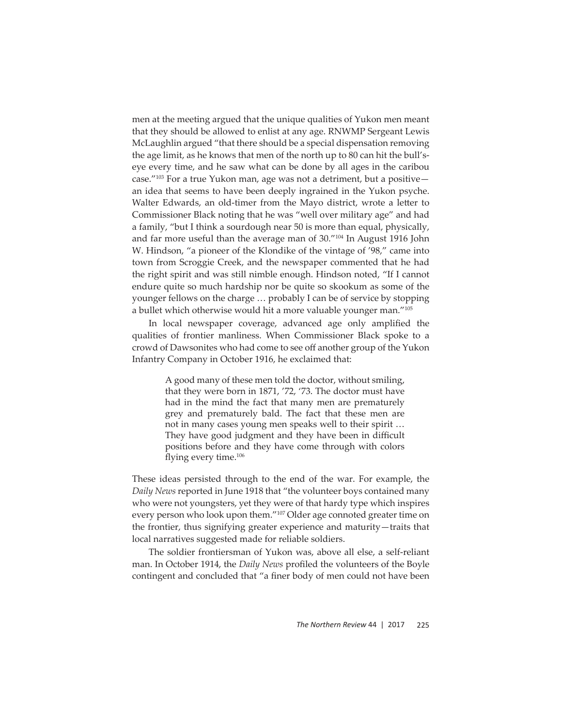men at the meeting argued that the unique qualities of Yukon men meant that they should be allowed to enlist at any age. RNWMP Sergeant Lewis McLaughlin argued "that there should be a special dispensation removing the age limit, as he knows that men of the north up to 80 can hit the bull'seye every time, and he saw what can be done by all ages in the caribou case."103 For a true Yukon man, age was not a detriment, but a positive an idea that seems to have been deeply ingrained in the Yukon psyche. Walter Edwards, an old-timer from the Mayo district, wrote a letter to Commissioner Black noting that he was "well over military age" and had a family, "but I think a sourdough near 50 is more than equal, physically, and far more useful than the average man of 30."104 In August 1916 John W. Hindson, "a pioneer of the Klondike of the vintage of '98," came into town from Scroggie Creek, and the newspaper commented that he had the right spirit and was still nimble enough. Hindson noted, "If I cannot endure quite so much hardship nor be quite so skookum as some of the younger fellows on the charge … probably I can be of service by stopping a bullet which otherwise would hit a more valuable younger man."105

In local newspaper coverage, advanced age only amplified the qualities of frontier manliness. When Commissioner Black spoke to a crowd of Dawsonites who had come to see off another group of the Yukon Infantry Company in October 1916, he exclaimed that:

> A good many of these men told the doctor, without smiling, that they were born in 1871, '72, '73. The doctor must have had in the mind the fact that many men are prematurely grey and prematurely bald. The fact that these men are not in many cases young men speaks well to their spirit … They have good judgment and they have been in difficult positions before and they have come through with colors flying every time. $106$

These ideas persisted through to the end of the war. For example, the *Daily News* reported in June 1918 that "the volunteer boys contained many who were not youngsters, yet they were of that hardy type which inspires every person who look upon them."<sup>107</sup> Older age connoted greater time on the frontier, thus signifying greater experience and maturity—traits that local narratives suggested made for reliable soldiers.

The soldier frontiersman of Yukon was, above all else, a self-reliant man. In October 1914, the *Daily News* profiled the volunteers of the Boyle contingent and concluded that "a finer body of men could not have been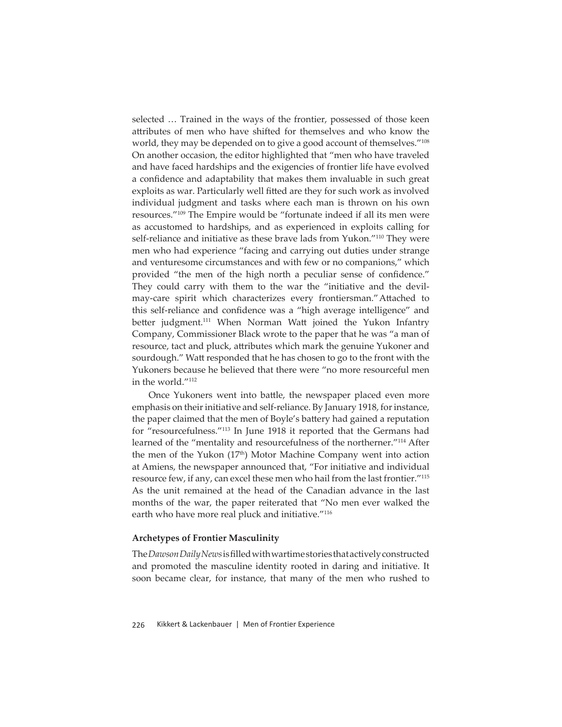selected … Trained in the ways of the frontier, possessed of those keen attributes of men who have shifted for themselves and who know the world, they may be depended on to give a good account of themselves."<sup>108</sup> On another occasion, the editor highlighted that "men who have traveled and have faced hardships and the exigencies of frontier life have evolved a confidence and adaptability that makes them invaluable in such great exploits as war. Particularly well fitted are they for such work as involved individual judgment and tasks where each man is thrown on his own resources."109 The Empire would be "fortunate indeed if all its men were as accustomed to hardships, and as experienced in exploits calling for self-reliance and initiative as these brave lads from Yukon."<sup>110</sup> They were men who had experience "facing and carrying out duties under strange and venturesome circumstances and with few or no companions," which provided "the men of the high north a peculiar sense of confidence." They could carry with them to the war the "initiative and the devilmay-care spirit which characterizes every frontiersman." Attached to this self-reliance and confidence was a "high average intelligence" and better judgment.<sup>111</sup> When Norman Watt joined the Yukon Infantry Company, Commissioner Black wrote to the paper that he was "a man of resource, tact and pluck, attributes which mark the genuine Yukoner and sourdough." Watt responded that he has chosen to go to the front with the Yukoners because he believed that there were "no more resourceful men in the world."112

Once Yukoners went into battle, the newspaper placed even more emphasis on their initiative and self-reliance. By January 1918, for instance, the paper claimed that the men of Boyle's battery had gained a reputation for "resourcefulness."113 In June 1918 it reported that the Germans had learned of the "mentality and resourcefulness of the northerner."114 After the men of the Yukon  $(17<sup>th</sup>)$  Motor Machine Company went into action at Amiens, the newspaper announced that, "For initiative and individual resource few, if any, can excel these men who hail from the last frontier."115 As the unit remained at the head of the Canadian advance in the last months of the war, the paper reiterated that "No men ever walked the earth who have more real pluck and initiative."<sup>116</sup>

#### **Archetypes of Frontier Masculinity**

The *Dawson Daily News* is fi lled with wartime stories that actively constructed and promoted the masculine identity rooted in daring and initiative. It soon became clear, for instance, that many of the men who rushed to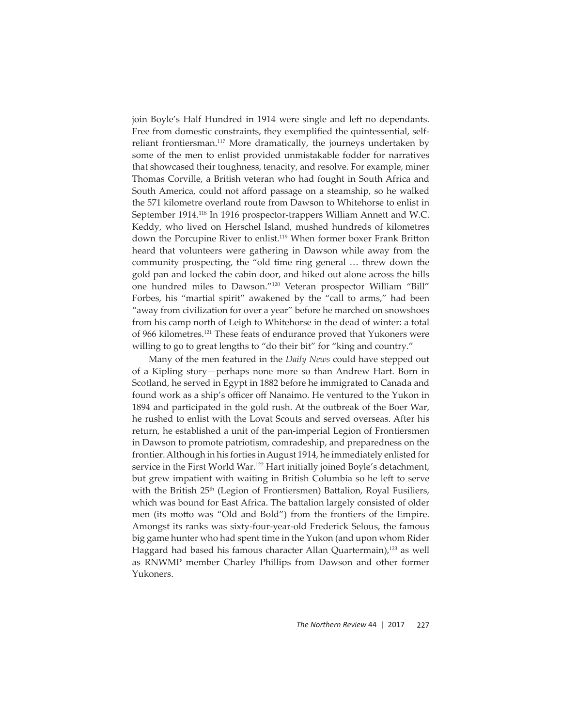join Boyle's Half Hundred in 1914 were single and left no dependants. Free from domestic constraints, they exemplified the quintessential, selfreliant frontiersman.<sup>117</sup> More dramatically, the journeys undertaken by some of the men to enlist provided unmistakable fodder for narratives that showcased their toughness, tenacity, and resolve. For example, miner Thomas Corville, a British veteran who had fought in South Africa and South America, could not afford passage on a steamship, so he walked the 571 kilometre overland route from Dawson to Whitehorse to enlist in September 1914.118 In 1916 prospector-trappers William Annett and W.C. Keddy, who lived on Herschel Island, mushed hundreds of kilometres down the Porcupine River to enlist.<sup>119</sup> When former boxer Frank Britton heard that volunteers were gathering in Dawson while away from the community prospecting, the "old time ring general … threw down the gold pan and locked the cabin door, and hiked out alone across the hills one hundred miles to Dawson."120 Veteran prospector William "Bill" Forbes, his "martial spirit" awakened by the "call to arms," had been "away from civilization for over a year" before he marched on snowshoes from his camp north of Leigh to Whitehorse in the dead of winter: a total of 966 kilometres.121 These feats of endurance proved that Yukoners were willing to go to great lengths to "do their bit" for "king and country."

Many of the men featured in the *Daily News* could have stepped out of a Kipling story—perhaps none more so than Andrew Hart. Born in Scotland, he served in Egypt in 1882 before he immigrated to Canada and found work as a ship's officer off Nanaimo. He ventured to the Yukon in 1894 and participated in the gold rush. At the outbreak of the Boer War, he rushed to enlist with the Lovat Scouts and served overseas. After his return, he established a unit of the pan-imperial Legion of Frontiersmen in Dawson to promote patriotism, comradeship, and preparedness on the frontier. Although in his forties in August 1914, he immediately enlisted for service in the First World War.<sup>122</sup> Hart initially joined Boyle's detachment, but grew impatient with waiting in British Columbia so he left to serve with the British  $25<sup>th</sup>$  (Legion of Frontiersmen) Battalion, Royal Fusiliers, which was bound for East Africa. The battalion largely consisted of older men (its motto was "Old and Bold") from the frontiers of the Empire. Amongst its ranks was sixty-four-year-old Frederick Selous, the famous big game hunter who had spent time in the Yukon (and upon whom Rider Haggard had based his famous character Allan Quartermain),<sup>123</sup> as well as RNWMP member Charley Phillips from Dawson and other former Yukoners.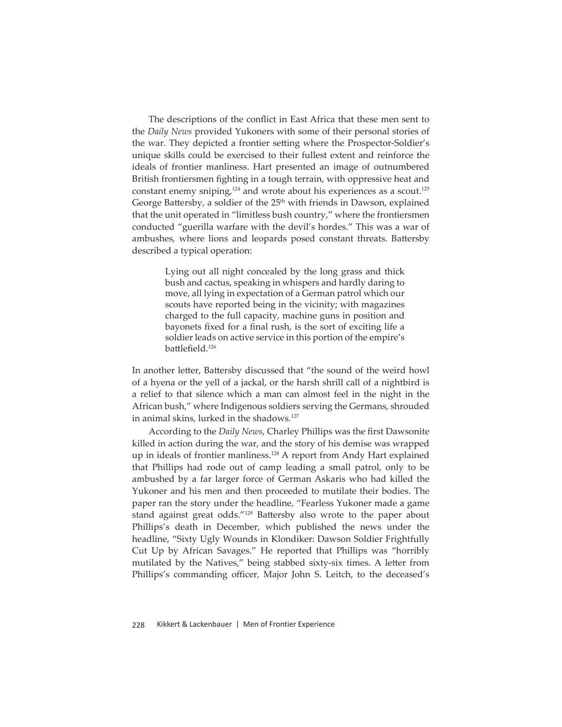The descriptions of the conflict in East Africa that these men sent to the *Daily News* provided Yukoners with some of their personal stories of the war. They depicted a frontier setting where the Prospector-Soldier's unique skills could be exercised to their fullest extent and reinforce the ideals of frontier manliness. Hart presented an image of outnumbered British frontiersmen fighting in a tough terrain, with oppressive heat and constant enemy sniping, $124$  and wrote about his experiences as a scout. $125$ George Battersby, a soldier of the  $25<sup>th</sup>$  with friends in Dawson, explained that the unit operated in "limitless bush country," where the frontiersmen conducted "guerilla warfare with the devil's hordes." This was a war of ambushes, where lions and leopards posed constant threats. Battersby described a typical operation:

> Lying out all night concealed by the long grass and thick bush and cactus, speaking in whispers and hardly daring to move, all lying in expectation of a German patrol which our scouts have reported being in the vicinity; with magazines charged to the full capacity, machine guns in position and bayonets fixed for a final rush, is the sort of exciting life a soldier leads on active service in this portion of the empire's battlefield.<sup>126</sup>

In another letter, Battersby discussed that "the sound of the weird howl of a hyena or the yell of a jackal, or the harsh shrill call of a nightbird is a relief to that silence which a man can almost feel in the night in the African bush," where Indigenous soldiers serving the Germans, shrouded in animal skins, lurked in the shadows.<sup>127</sup>

According to the *Daily News*, Charley Phillips was the first Dawsonite killed in action during the war, and the story of his demise was wrapped up in ideals of frontier manliness.<sup>128</sup> A report from Andy Hart explained that Phillips had rode out of camp leading a small patrol, only to be ambushed by a far larger force of German Askaris who had killed the Yukoner and his men and then proceeded to mutilate their bodies. The paper ran the story under the headline, "Fearless Yukoner made a game stand against great odds."<sup>129</sup> Battersby also wrote to the paper about Phillips's death in December, which published the news under the headline, "Sixty Ugly Wounds in Klondiker: Dawson Soldier Frightfully Cut Up by African Savages." He reported that Phillips was "horribly mutilated by the Natives," being stabbed sixty-six times. A letter from Phillips's commanding officer, Major John S. Leitch, to the deceased's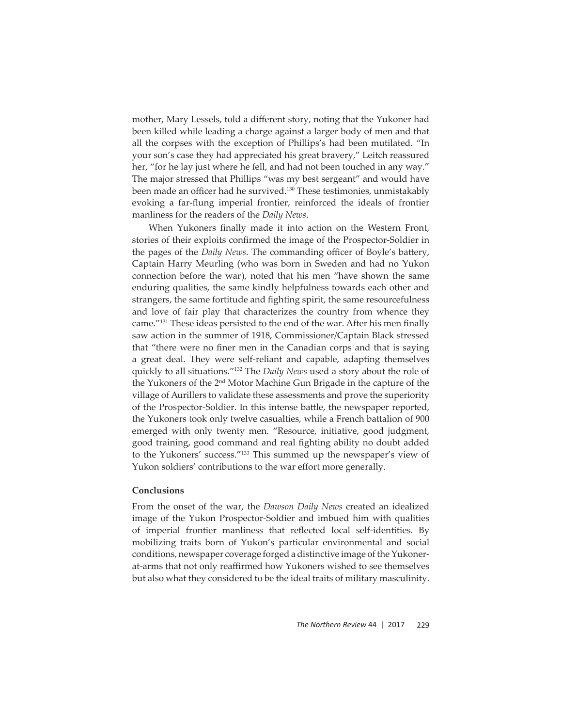mother, Mary Lessels, told a different story, noting that the Yukoner had been killed while leading a charge against a larger body of men and that all the corpses with the exception of Phillips's had been mutilated. "In your son's case they had appreciated his great bravery," Leitch reassured her, "for he lay just where he fell, and had not been touched in any way." The major stressed that Phillips "was my best sergeant" and would have been made an officer had he survived.<sup>130</sup> These testimonies, unmistakably evoking a far-flung imperial frontier, reinforced the ideals of frontier manliness for the readers of the *Daily News*.

When Yukoners finally made it into action on the Western Front, stories of their exploits confirmed the image of the Prospector-Soldier in the pages of the *Daily News*. The commanding officer of Boyle's battery, Captain Harry Meurling (who was born in Sweden and had no Yukon connection before the war), noted that his men "have shown the same enduring qualities, the same kindly helpfulness towards each other and strangers, the same fortitude and fighting spirit, the same resourcefulness and love of fair play that characterizes the country from whence they came."<sup>131</sup> These ideas persisted to the end of the war. After his men finally saw action in the summer of 1918, Commissioner/Captain Black stressed that "there were no finer men in the Canadian corps and that is saying a great deal. They were self-reliant and capable, adapting themselves quickly to all situations."132 The *Daily News* used a story about the role of the Yukoners of the 2nd Motor Machine Gun Brigade in the capture of the village of Aurillers to validate these assessments and prove the superiority of the Prospector-Soldier. In this intense battle, the newspaper reported, the Yukoners took only twelve casualties, while a French battalion of 900 emerged with only twenty men. "Resource, initiative, good judgment, good training, good command and real fighting ability no doubt added to the Yukoners' success."133 This summed up the newspaper's view of Yukon soldiers' contributions to the war effort more generally.

#### **Conclusions**

From the onset of the war, the *Dawson Daily News* created an idealized image of the Yukon Prospector-Soldier and imbued him with qualities of imperial frontier manliness that reflected local self-identities. By mobilizing traits born of Yukon's particular environmental and social conditions, newspaper coverage forged a distinctive image of the Yukonerat-arms that not only reaffirmed how Yukoners wished to see themselves but also what they considered to be the ideal traits of military masculinity.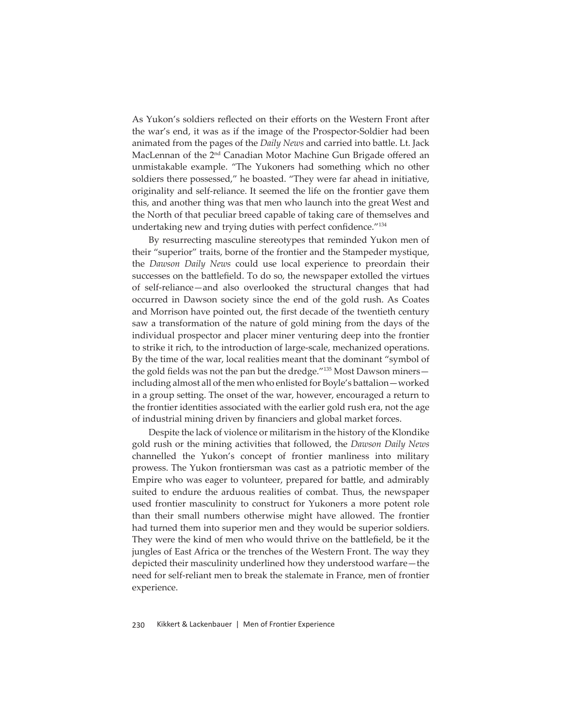As Yukon's soldiers reflected on their efforts on the Western Front after the war's end, it was as if the image of the Prospector-Soldier had been animated from the pages of the *Daily News* and carried into battle. Lt. Jack MacLennan of the 2<sup>nd</sup> Canadian Motor Machine Gun Brigade offered an unmistakable example. "The Yukoners had something which no other soldiers there possessed," he boasted. "They were far ahead in initiative, originality and self-reliance. It seemed the life on the frontier gave them this, and another thing was that men who launch into the great West and the North of that peculiar breed capable of taking care of themselves and undertaking new and trying duties with perfect confidence."<sup>134</sup>

By resurrecting masculine stereotypes that reminded Yukon men of their "superior" traits, borne of the frontier and the Stampeder mystique, the *Dawson Daily News* could use local experience to preordain their successes on the battlefield. To do so, the newspaper extolled the virtues of self-reliance—and also overlooked the structural changes that had occurred in Dawson society since the end of the gold rush. As Coates and Morrison have pointed out, the first decade of the twentieth century saw a transformation of the nature of gold mining from the days of the individual prospector and placer miner venturing deep into the frontier to strike it rich, to the introduction of large-scale, mechanized operations. By the time of the war, local realities meant that the dominant "symbol of the gold fields was not the pan but the dredge."<sup>135</sup> Most Dawson minersincluding almost all of the men who enlisted for Boyle's battalion - worked in a group setting. The onset of the war, however, encouraged a return to the frontier identities associated with the earlier gold rush era, not the age of industrial mining driven by financiers and global market forces.

Despite the lack of violence or militarism in the history of the Klondike gold rush or the mining activities that followed, the *Dawson Daily News* channelled the Yukon's concept of frontier manliness into military prowess. The Yukon frontiersman was cast as a patriotic member of the Empire who was eager to volunteer, prepared for battle, and admirably suited to endure the arduous realities of combat. Thus, the newspaper used frontier masculinity to construct for Yukoners a more potent role than their small numbers otherwise might have allowed. The frontier had turned them into superior men and they would be superior soldiers. They were the kind of men who would thrive on the battlefield, be it the jungles of East Africa or the trenches of the Western Front. The way they depicted their masculinity underlined how they understood warfare—the need for self-reliant men to break the stalemate in France, men of frontier experience.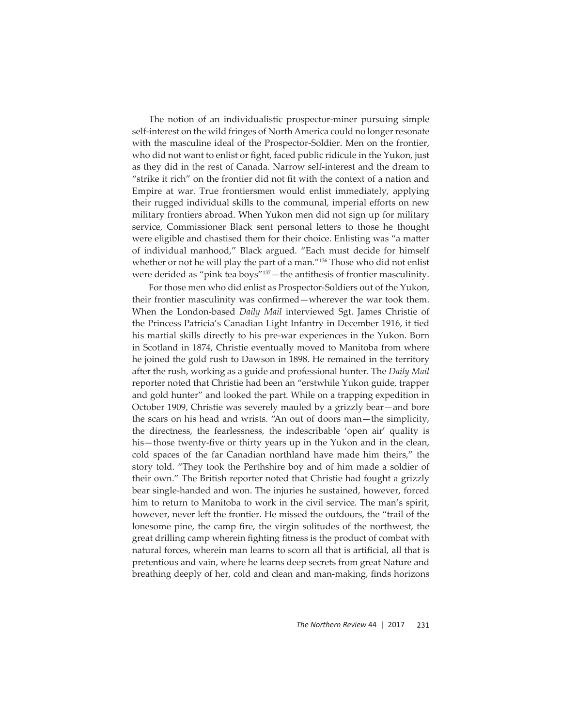The notion of an individualistic prospector-miner pursuing simple self-interest on the wild fringes of North America could no longer resonate with the masculine ideal of the Prospector-Soldier. Men on the frontier, who did not want to enlist or fight, faced public ridicule in the Yukon, just as they did in the rest of Canada. Narrow self-interest and the dream to "strike it rich" on the frontier did not fit with the context of a nation and Empire at war. True frontiersmen would enlist immediately, applying their rugged individual skills to the communal, imperial efforts on new military frontiers abroad. When Yukon men did not sign up for military service, Commissioner Black sent personal letters to those he thought were eligible and chastised them for their choice. Enlisting was "a matter of individual manhood," Black argued. "Each must decide for himself whether or not he will play the part of a man."<sup>136</sup> Those who did not enlist were derided as "pink tea boys"<sup>137</sup> - the antithesis of frontier masculinity.

For those men who did enlist as Prospector-Soldiers out of the Yukon, their frontier masculinity was confirmed—wherever the war took them. When the London-based *Daily Mail* interviewed Sgt. James Christie of the Princess Patricia's Canadian Light Infantry in December 1916, it tied his martial skills directly to his pre-war experiences in the Yukon. Born in Scotland in 1874, Christie eventually moved to Manitoba from where he joined the gold rush to Dawson in 1898. He remained in the territory after the rush, working as a guide and professional hunter. The *Daily Mail* reporter noted that Christie had been an "erstwhile Yukon guide, trapper and gold hunter" and looked the part. While on a trapping expedition in October 1909, Christie was severely mauled by a grizzly bear—and bore the scars on his head and wrists. "An out of doors man—the simplicity, the directness, the fearlessness, the indescribable 'open air' quality is his—those twenty-five or thirty years up in the Yukon and in the clean, cold spaces of the far Canadian northland have made him theirs," the story told. "They took the Perthshire boy and of him made a soldier of their own." The British reporter noted that Christie had fought a grizzly bear single-handed and won. The injuries he sustained, however, forced him to return to Manitoba to work in the civil service. The man's spirit, however, never left the frontier. He missed the outdoors, the "trail of the lonesome pine, the camp fire, the virgin solitudes of the northwest, the great drilling camp wherein fighting fitness is the product of combat with natural forces, wherein man learns to scorn all that is artificial, all that is pretentious and vain, where he learns deep secrets from great Nature and breathing deeply of her, cold and clean and man-making, finds horizons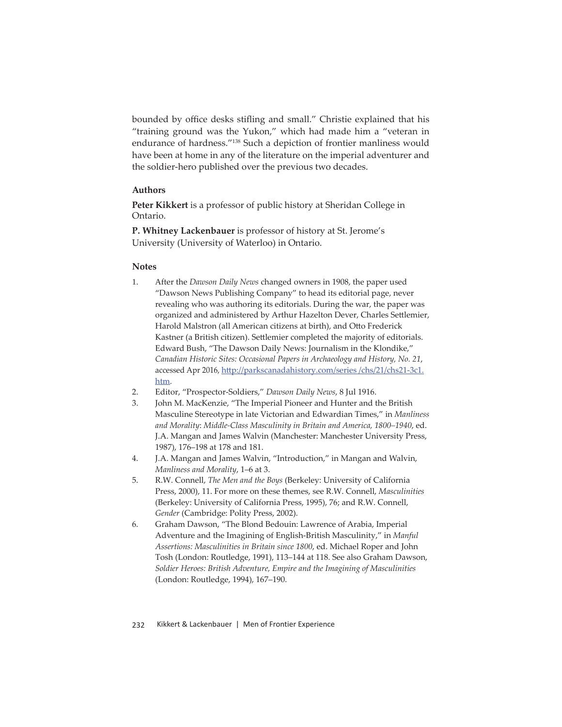bounded by office desks stifling and small." Christie explained that his "training ground was the Yukon," which had made him a "veteran in endurance of hardness."138 Such a depiction of frontier manliness would have been at home in any of the literature on the imperial adventurer and the soldier-hero published over the previous two decades.

# **Authors**

**Peter Kikkert** is a professor of public history at Sheridan College in Ontario.

**P. Whitney Lackenbauer** is professor of history at St. Jerome's University (University of Waterloo) in Ontario.

#### **Notes**

- 1. After the *Dawson Daily News* changed owners in 1908, the paper used "Dawson News Publishing Company" to head its editorial page, never revealing who was authoring its editorials. During the war, the paper was organized and administered by Arthur Hazelton Dever, Charles Settlemier, Harold Malstron (all American citizens at birth), and Otto Frederick Kastner (a British citizen). Settlemier completed the majority of editorials. Edward Bush, "The Dawson Daily News: Journalism in the Klondike," *Canadian Historic Sites: Occasional Papers in Archaeology and History, No. 21*, accessed Apr 2016, http://parkscanadahistory.com/series /chs/21/chs21-3c1. htm.
- 2. Editor, "Prospector-Soldiers," *Dawson Daily News*, 8 Jul 1916.
- 3. John M. MacKenzie, "The Imperial Pioneer and Hunter and the British Masculine Stereotype in late Victorian and Edwardian Times," in *Manliness and Morality*: *Middle-Class Masculinity in Britain and America, 1800–1940*, ed. J.A. Mangan and James Walvin (Manchester: Manchester University Press, 1987), 176–198 at 178 and 181.
- 4. J.A. Mangan and James Walvin, "Introduction," in Mangan and Walvin, *Manliness and Morality*, 1–6 at 3.
- 5. R.W. Connell, *The Men and the Boys* (Berkeley: University of California Press, 2000), 11. For more on these themes, see R.W. Connell, *Masculinities* (Berkeley: University of California Press, 1995), 76; and R.W. Connell, *Gender* (Cambridge: Polity Press, 2002).
- 6. Graham Dawson, "The Blond Bedouin: Lawrence of Arabia, Imperial Adventure and the Imagining of English-British Masculinity," in *Manful Assertions: Masculinities in Britain since 1800*, ed. Michael Roper and John Tosh (London: Routledge, 1991), 113–144 at 118. See also Graham Dawson, *Soldier Heroes: British Adventure, Empire and the Imagining of Masculinities* (London: Routledge, 1994), 167–190.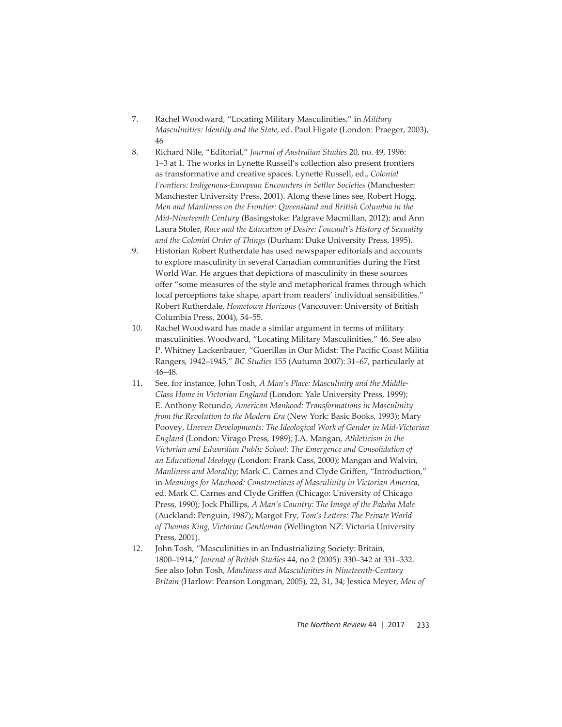- 7. Rachel Woodward, "Locating Military Masculinities," in *Military Masculinities: Identity and the State*, ed. Paul Higate (London: Praeger, 2003), 46
- 8. Richard Nile, "Editorial," *Journal of Australian Studies* 20, no. 49, 1996: 1–3 at 1. The works in Lynette Russell's collection also present frontiers as transformative and creative spaces. Lynette Russell, ed., *Colonial Frontiers: Indigenous-European Encounters in Sett ler Societies* (Manchester: Manchester University Press, 2001). Along these lines see, Robert Hogg, *Men and Manliness on the Frontier: Queensland and British Columbia in the Mid-Nineteenth Century* (Basingstoke: Palgrave Macmillan, 2012); and Ann Laura Stoler, *Race and the Education of Desire: Foucault's History of Sexuality and the Colonial Order of Things* (Durham: Duke University Press, 1995).
- 9. Historian Robert Rutherdale has used newspaper editorials and accounts to explore masculinity in several Canadian communities during the First World War. He argues that depictions of masculinity in these sources offer "some measures of the style and metaphorical frames through which local perceptions take shape, apart from readers' individual sensibilities." Robert Rutherdale, *Hometown Horizons* (Vancouver: University of British Columbia Press, 2004), 54–55.
- 10. Rachel Woodward has made a similar argument in terms of military masculinities. Woodward, "Locating Military Masculinities," 46. See also P. Whitney Lackenbauer, "Guerillas in Our Midst: The Pacific Coast Militia Rangers, 1942–1945," *BC Studies* 155 (Autumn 2007): 31–67, particularly at 46–48.
- 11. See, for instance, John Tosh, *A Man's Place: Masculinity and the Middle-Class Home in Victorian England* (London: Yale University Press, 1999); E. Anthony Rotundo, *American Manhood: Transformations in Masculinity from the Revolution to the Modern Era* (New York: Basic Books, 1993); Mary Poovey, *Uneven Developments: The Ideological Work of Gender in Mid-Victorian England* (London: Virago Press, 1989); J.A. Mangan, *Athleticism in the Victorian and Edwardian Public School: The Emergence and Consolidation of an Educational Ideology* (London: Frank Cass, 2000); Mangan and Walvin, *Manliness and Morality; Mark C. Carnes and Clyde Griffen, "Introduction,"* in *Meanings for Manhood: Constructions of Masculinity in Victorian America*, ed. Mark C. Carnes and Clyde Griffen (Chicago: University of Chicago Press, 1990); Jock Phillips, *A Man's Country: The Image of the Pakeha Male* (Auckland: Penguin, 1987); Margot Fry, Tom's Letters: The Private World *of Thomas King, Victorian Gentleman* (Wellington NZ: Victoria University Press, 2001).
- 12. John Tosh, "Masculinities in an Industrializing Society: Britain, 1800–1914," *Journal of British Studies* 44, no 2 (2005): 330–342 at 331–332. See also John Tosh, *Manliness and Masculinities in Nineteenth-Century Britain* (Harlow: Pearson Longman, 2005), 22, 31, 34; Jessica Meyer, *Men of*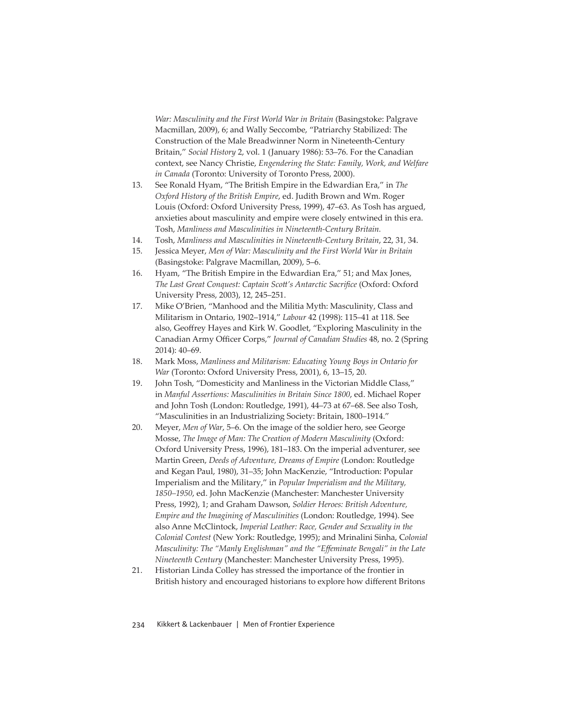*War: Masculinity and the First World War in Britain* (Basingstoke: Palgrave Macmillan, 2009), 6; and Wally Seccombe, "Patriarchy Stabilized: The Construction of the Male Breadwinner Norm in Nineteenth-Century Britain," *Social History* 2, vol. 1 (January 1986): 53–76. For the Canadian context, see Nancy Christie, *Engendering the State: Family, Work, and Welfare in Canada* (Toronto: University of Toronto Press, 2000).

- 13. See Ronald Hyam, "The British Empire in the Edwardian Era," in *The Oxford History of the British Empire*, ed. Judith Brown and Wm. Roger Louis (Oxford: Oxford University Press, 1999), 47–63. As Tosh has argued, anxieties about masculinity and empire were closely entwined in this era. Tosh, *Manliness and Masculinities in Nineteenth-Century Britain.*
- 14. Tosh, *Manliness and Masculinities in Nineteenth-Century Britain*, 22, 31, 34.
- 15. Jessica Meyer, *Men of War: Masculinity and the First World War in Britain* (Basingstoke: Palgrave Macmillan, 2009), 5–6.
- 16. Hyam, "The British Empire in the Edwardian Era," 51; and Max Jones, *The Last Great Conquest: Captain Scott's Antarctic Sacrifice (Oxford: Oxford* University Press, 2003), 12, 245–251.
- 17. Mike O'Brien, "Manhood and the Militia Myth: Masculinity, Class and Militarism in Ontario, 1902–1914," *Labour* 42 (1998): 115–41 at 118. See also, Geoffrey Hayes and Kirk W. Goodlet, "Exploring Masculinity in the Canadian Army Officer Corps," *Journal of Canadian Studies* 48, no. 2 (Spring 2014): 40–69.
- 18. Mark Moss, *Manliness and Militarism: Educating Young Boys in Ontario for War* (Toronto: Oxford University Press, 2001), 6, 13–15, 20.
- 19. John Tosh, "Domesticity and Manliness in the Victorian Middle Class," in *Manful Assertions: Masculinities in Britain Since 1800*, ed. Michael Roper and John Tosh (London: Routledge, 1991), 44–73 at 67–68. See also Tosh, "Masculinities in an Industrializing Society: Britain, 1800–1914."
- 20. Meyer, *Men of War*, 5–6. On the image of the soldier hero, see George Mosse, *The Image of Man: The Creation of Modern Masculinity* (Oxford: Oxford University Press, 1996), 181–183. On the imperial adventurer, see Martin Green, *Deeds of Adventure, Dreams of Empire* (London: Routledge and Kegan Paul, 1980), 31–35; John MacKenzie, "Introduction: Popular Imperialism and the Military," in *Popular Imperialism and the Military, 1850–1950*, ed. John MacKenzie (Manchester: Manchester University Press, 1992), 1; and Graham Dawson, *Soldier Heroes: British Adventure, Empire and the Imagining of Masculinities* (London: Routledge, 1994). See also Anne McClintock, *Imperial Leather: Race, Gender and Sexuality in the Colonial Contest* (New York: Routledge, 1995); and Mrinalini Sinha, C*olonial Masculinity: The "Manly Englishman" and the "Eff eminate Bengali" in the Late Nineteenth Century* (Manchester: Manchester University Press, 1995).
- 21. Historian Linda Colley has stressed the importance of the frontier in British history and encouraged historians to explore how different Britons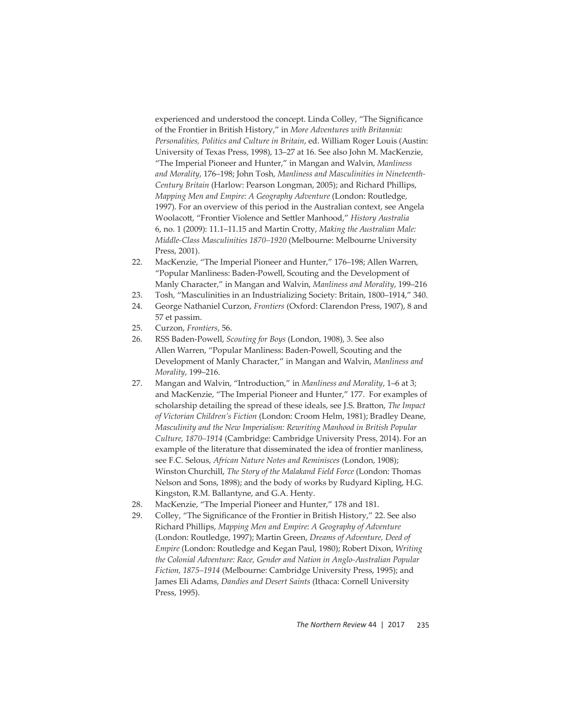experienced and understood the concept. Linda Colley, "The Significance of the Frontier in British History," in *More Adventures with Britannia: Personalities, Politics and Culture in Britain*, ed. William Roger Louis (Austin: University of Texas Press, 1998), 13–27 at 16. See also John M. MacKenzie, "The Imperial Pioneer and Hunter," in Mangan and Walvin, *Manliness and Morality*, 176–198; John Tosh, *Manliness and Masculinities in Nineteenth-Century Britain* (Harlow: Pearson Longman, 2005); and Richard Phillips, *Mapping Men and Empire: A Geography Adventure* (London: Routledge, 1997). For an overview of this period in the Australian context, see Angela Woolacott, "Frontier Violence and Settler Manhood," *History Australia* 6, no. 1 (2009): 11.1–11.15 and Martin Crott y, *Making the Australian Male: Middle-Class Masculinities 1870–1920* (Melbourne: Melbourne University Press, 2001).

- 22. MacKenzie, "The Imperial Pioneer and Hunter," 176–198; Allen Warren, "Popular Manliness: Baden-Powell, Scouting and the Development of Manly Character," in Mangan and Walvin, *Manliness and Morality*, 199–216
- 23. Tosh, "Masculinities in an Industrializing Society: Britain, 1800–1914," 340.
- 24. George Nathaniel Curzon, *Frontiers* (Oxford: Clarendon Press, 1907), 8 and 57 et passim.
- 25. Curzon, *Frontiers*, 56.
- 26. RSS Baden-Powell, *Scouting for Boys* (London, 1908), 3. See also Allen Warren, "Popular Manliness: Baden-Powell, Scouting and the Development of Manly Character," in Mangan and Walvin, *Manliness and Morality*, 199–216.
- 27. Mangan and Walvin, "Introduction," in *Manliness and Morality*, 1–6 at 3; and MacKenzie, "The Imperial Pioneer and Hunter," 177. For examples of scholarship detailing the spread of these ideals, see J.S. Bratton, *The Impact of Victorian Children's Fiction* (London: Croom Helm, 1981); Bradley Deane, *Masculinity and the New Imperialism: Rewriting Manhood in British Popular Culture, 1870–1914* (Cambridge: Cambridge University Press, 2014). For an example of the literature that disseminated the idea of frontier manliness, see F.C. Selous, *African Nature Notes and Reminisces* (London, 1908); Winston Churchill, *The Story of the Malakand Field Force* (London: Thomas Nelson and Sons, 1898); and the body of works by Rudyard Kipling, H.G. Kingston, R.M. Ballantyne, and G.A. Henty.
- 28. MacKenzie, "The Imperial Pioneer and Hunter," 178 and 181.
- 29. Colley, "The Significance of the Frontier in British History," 22. See also Richard Phillips, *Mapping Men and Empire: A Geography of Adventure*  (London: Routledge, 1997); Martin Green, *Dreams of Adventure, Deed of Empire* (London: Routledge and Kegan Paul, 1980); Robert Dixon, *Writing the Colonial Adventure: Race, Gender and Nation in Anglo-Australian Popular Fiction, 1875–1914* (Melbourne: Cambridge University Press, 1995); and James Eli Adams, *Dandies and Desert Saints* (Ithaca: Cornell University Press, 1995).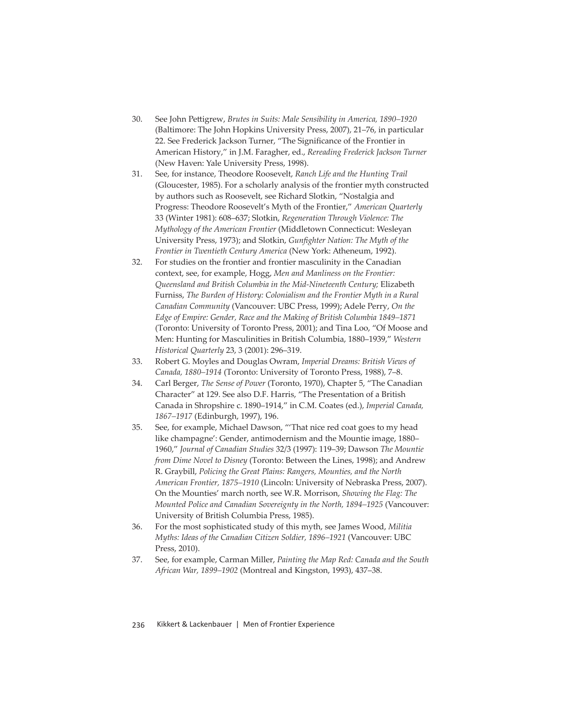- 30. See John Pettigrew, *Brutes in Suits: Male Sensibility in America*, 1890–1920 (Baltimore: The John Hopkins University Press, 2007), 21–76, in particular 22. See Frederick Jackson Turner, "The Significance of the Frontier in American History," in J.M. Faragher, ed., *Rereading Frederick Jackson Turner* (New Haven: Yale University Press, 1998).
- 31. See, for instance, Theodore Roosevelt, *Ranch Life and the Hunting Trail* (Gloucester, 1985). For a scholarly analysis of the frontier myth constructed by authors such as Roosevelt, see Richard Slotkin, "Nostalgia and Progress: Theodore Roosevelt's Myth of the Frontier," *American Quarterly* 33 (Winter 1981): 608–637; Slotkin, *Regeneration Through Violence: The Mythology of the American Frontier* (Middletown Connecticut: Wesleyan University Press, 1973); and Slotkin, *Gunfighter Nation: The Myth of the Frontier in Twentieth Century America* (New York: Atheneum, 1992).
- 32. For studies on the frontier and frontier masculinity in the Canadian context, see, for example, Hogg, *Men and Manliness on the Frontier: Queensland and British Columbia in the Mid-Nineteenth Century;* Elizabeth Furniss, *The Burden of History: Colonialism and the Frontier Myth in a Rural Canadian Community* (Vancouver: UBC Press, 1999); Adele Perry, *On the Edge of Empire: Gender, Race and the Making of British Columbia 1849–1871*  (Toronto: University of Toronto Press, 2001); and Tina Loo, "Of Moose and Men: Hunting for Masculinities in British Columbia, 1880–1939," *Western Historical Quarterly* 23, 3 (2001): 296–319.
- 33. Robert G. Moyles and Douglas Owram, *Imperial Dreams: British Views of Canada, 1880–1914* (Toronto: University of Toronto Press, 1988), 7–8.
- 34. Carl Berger, *The Sense of Power* (Toronto, 1970), Chapter 5, "The Canadian Character" at 129. See also D.F. Harris, "The Presentation of a British Canada in Shropshire c. 1890–1914," in C.M. Coates (ed.), *Imperial Canada, 1867–1917* (Edinburgh, 1997), 196.
- 35. See, for example, Michael Dawson, "'That nice red coat goes to my head like champagne': Gender, antimodernism and the Mountie image, 1880– 1960," *Journal of Canadian Studies* 32/3 (1997): 119–39; Dawson *The Mountie from Dime Novel to Disney* (Toronto: Between the Lines, 1998); and Andrew R. Graybill, *Policing the Great Plains: Rangers, Mounties, and the North American Frontier, 1875–1910* (Lincoln: University of Nebraska Press, 2007). On the Mounties' march north, see W.R. Morrison, *Showing the Flag: The Mounted Police and Canadian Sovereignty in the North, 1894–1925* (Vancouver: University of British Columbia Press, 1985).
- 36. For the most sophisticated study of this myth, see James Wood, *Militia Myths: Ideas of the Canadian Citizen Soldier, 1896–1921* (Vancouver: UBC Press, 2010).
- 37. See, for example, Carman Miller, *Painting the Map Red: Canada and the South African War, 1899–1902* (Montreal and Kingston, 1993), 437–38.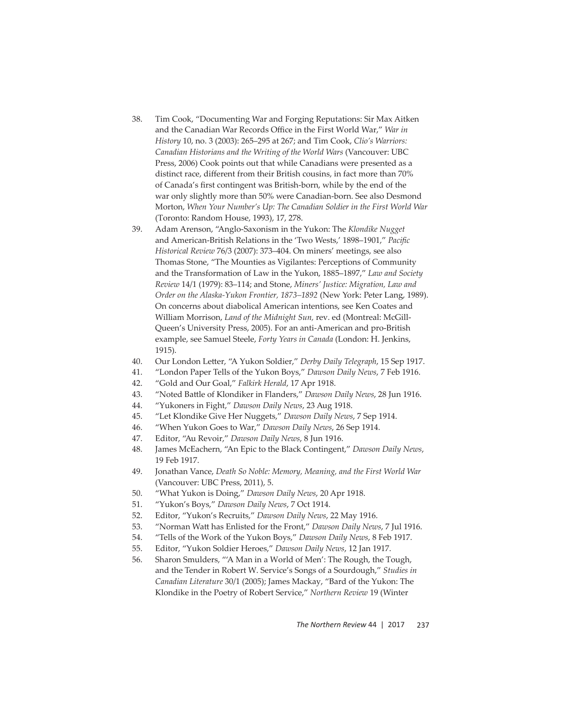- 38. Tim Cook, "Documenting War and Forging Reputations: Sir Max Aitken and the Canadian War Records Office in the First World War," War in *History* 10, no. 3 (2003): 265–295 at 267; and Tim Cook, *Clio's Warriors: Canadian Historians and the Writing of the World Wars* (Vancouver: UBC Press, 2006) Cook points out that while Canadians were presented as a distinct race, different from their British cousins, in fact more than 70% of Canada's first contingent was British-born, while by the end of the war only slightly more than 50% were Canadian-born. See also Desmond Morton, *When Your Number's Up: The Canadian Soldier in the First World War*  (Toronto: Random House, 1993), 17, 278.
- 39. Adam Arenson, "Anglo-Saxonism in the Yukon: The *Klondike Nugget*  and American-British Relations in the 'Two Wests,' 1898-1901," Pacific *Historical Review* 76/3 (2007): 373–404. On miners' meetings, see also Thomas Stone, "The Mounties as Vigilantes: Perceptions of Community and the Transformation of Law in the Yukon, 1885–1897," *Law and Society Review* 14/1 (1979): 83–114; and Stone, *Miners' Justice: Migration, Law and Order on the Alaska-Yukon Frontier, 1873–1892* (New York: Peter Lang, 1989). On concerns about diabolical American intentions, see Ken Coates and William Morrison, *Land of the Midnight Sun,* rev. ed (Montreal: McGill-Queen's University Press, 2005). For an anti-American and pro-British example, see Samuel Steele, *Forty Years in Canada* (London: H. Jenkins, 1915).
- 40. Our London Letter, "A Yukon Soldier," Derby Daily Telegraph, 15 Sep 1917.
- 41. "London Paper Tells of the Yukon Boys," *Dawson Daily News*, 7 Feb 1916.
- 42. "Gold and Our Goal," *Falkirk Herald*, 17 Apr 1918.
- 43. "Noted Battle of Klondiker in Flanders," Dawson Daily News, 28 Jun 1916.
- 44. "Yukoners in Fight," *Dawson Daily News*, 23 Aug 1918.
- 45. "Let Klondike Give Her Nuggets," *Dawson Daily News*, 7 Sep 1914.
- 46. "When Yukon Goes to War," *Dawson Daily News*, 26 Sep 1914.
- 47. Editor, "Au Revoir," *Dawson Daily News*, 8 Jun 1916.
- 48. James McEachern, "An Epic to the Black Contingent," *Dawson Daily News*, 19 Feb 1917.
- 49. Jonathan Vance, *Death So Noble: Memory, Meaning, and the First World War* (Vancouver: UBC Press, 2011), 5.
- 50. "What Yukon is Doing," *Dawson Daily News*, 20 Apr 1918.
- 51. "Yukon's Boys," *Dawson Daily News*, 7 Oct 1914.
- 52. Editor, "Yukon's Recruits," *Dawson Daily News*, 22 May 1916.
- 53. "Norman Watt has Enlisted for the Front," *Dawson Daily News*, 7 Jul 1916.
- 54. "Tells of the Work of the Yukon Boys," *Dawson Daily News*, 8 Feb 1917.
- 55. Editor, "Yukon Soldier Heroes," *Dawson Daily News*, 12 Jan 1917.
- 56. Sharon Smulders, "'A Man in a World of Men': The Rough, the Tough, and the Tender in Robert W. Service's Songs of a Sourdough," *Studies in Canadian Literature* 30/1 (2005); James Mackay, "Bard of the Yukon: The Klondike in the Poetry of Robert Service," *Northern Review* 19 (Winter

*The Northern Review* 44 | 2017 237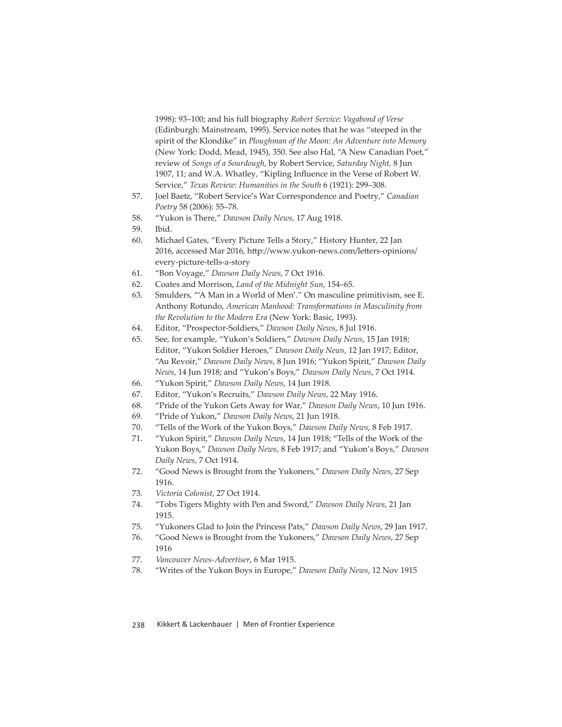1998): 93–100; and his full biography *Robert Service: Vagabond of Verse* (Edinburgh: Mainstream, 1995). Service notes that he was "steeped in the spirit of the Klondike" in *Ploughman of the Moon: An Adventure into Memory* (New York: Dodd, Mead, 1945), 350. See also Hal, "A New Canadian Poet," review of *Songs of a Sourdough*, by Robert Service, *Saturday Night,* 8 Jun 1907, 11; and W.A. Whatley, "Kipling Influence in the Verse of Robert W. Service," *Texas Review: Humanities in the South* 6 (1921): 299–308.

- 57. Joel Baetz, "Robert Service's War Correspondence and Poetry," Canadian *Poetry* 58 (2006): 55–78.
- 58. "Yukon is There," *Dawson Daily News*, 17 Aug 1918.
- 59. Ibid.
- 60. Michael Gates, "Every Picture Tells a Story," History Hunter, 22 Jan 2016, accessed Mar 2016, http://www.yukon-news.com/letters-opinions/ every-picture-tells-a-story
- 61. "Bon Voyage," *Dawson Daily News*, 7 Oct 1916.
- 62. Coates and Morrison, *Land of the Midnight Sun*, 154–65.
- 63. Smulders, "'A Man in a World of Men'." On masculine primitivism, see E. Anthony Rotundo, *American Manhood: Transformations in Masculinity from the Revolution to the Modern Era* (New York: Basic, 1993).
- 64. Editor, "Prospector-Soldiers," *Dawson Daily News*, 8 Jul 1916.
- 65. See, for example, "Yukon's Soldiers," *Dawson Daily News*, 15 Jan 1918; Editor, "Yukon Soldier Heroes," *Dawson Daily News*, 12 Jan 1917; Editor, "Au Revoir," *Dawson Daily News*, 8 Jun 1916; "Yukon Spirit," *Dawson Daily News*, 14 Jun 1918; and "Yukon's Boys," *Dawson Daily News*, 7 Oct 1914.
- 66. "Yukon Spirit," *Dawson Daily News*, 14 Jun 1918.
- 67. Editor, "Yukon's Recruits," *Dawson Daily News*, 22 May 1916.
- 68. "Pride of the Yukon Gets Away for War," *Dawson Daily News*, 10 Jun 1916.
- 69. "Pride of Yukon," *Dawson Daily News*, 21 Jun 1918.
- 70. "Tells of the Work of the Yukon Boys," *Dawson Daily News*, 8 Feb 1917.
- 71. "Yukon Spirit," *Dawson Daily News*, 14 Jun 1918; "Tells of the Work of the Yukon Boys," *Dawson Daily News*, 8 Feb 1917; and "Yukon's Boys," *Dawson Daily News*, 7 Oct 1914.
- 72. "Good News is Brought from the Yukoners," *Dawson Daily News*, 27 Sep 1916.
- 73. *Victoria Colonist*, 27 Oct 1914.
- 74. "Tobs Tigers Mighty with Pen and Sword," *Dawson Daily News*, 21 Jan 1915.
- 75. "Yukoners Glad to Join the Princess Pats," *Dawson Daily News*, 29 Jan 1917.
- 76. "Good News is Brought from the Yukoners," *Dawson Daily News*, 27 Sep 1916
- 77. *Vancouver News-Advertiser*, 6 Mar 1915.
- 78. "Writes of the Yukon Boys in Europe," *Dawson Daily News*, 12 Nov 1915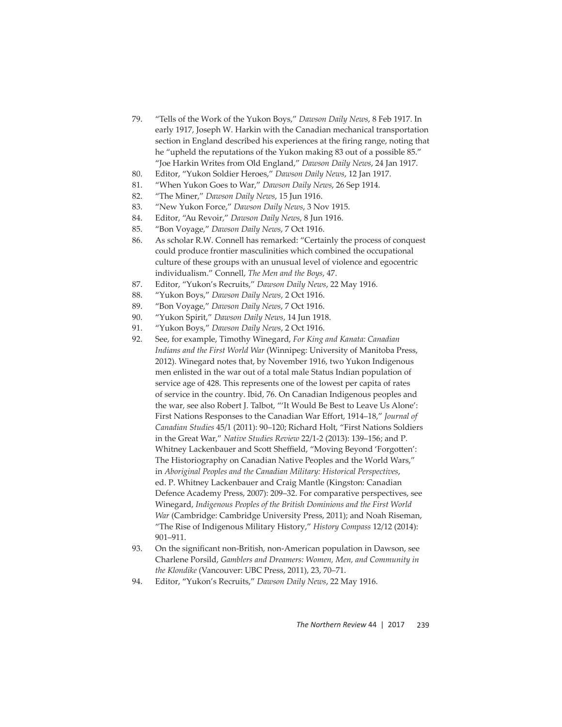- 79. "Tells of the Work of the Yukon Boys," *Dawson Daily News*, 8 Feb 1917. In early 1917, Joseph W. Harkin with the Canadian mechanical transportation section in England described his experiences at the firing range, noting that he "upheld the reputations of the Yukon making 83 out of a possible 85." "Joe Harkin Writes from Old England," *Dawson Daily News*, 24 Jan 1917.
- 80. Editor, "Yukon Soldier Heroes," *Dawson Daily News*, 12 Jan 1917.
- 81. "When Yukon Goes to War," *Dawson Daily News*, 26 Sep 1914.
- 82. "The Miner," *Dawson Daily News*, 15 Jun 1916.
- 83. "New Yukon Force," *Dawson Daily News*, 3 Nov 1915.
- 84. Editor, "Au Revoir," *Dawson Daily News*, 8 Jun 1916.
- 85. "Bon Voyage," *Dawson Daily News*, 7 Oct 1916.
- 86. As scholar R.W. Connell has remarked: "Certainly the process of conquest could produce frontier masculinities which combined the occupational culture of these groups with an unusual level of violence and egocentric individualism." Connell, *The Men and the Boys*, 47.
- 87. Editor, "Yukon's Recruits," *Dawson Daily News*, 22 May 1916.
- 88. "Yukon Boys," *Dawson Daily News*, 2 Oct 1916.
- 89. "Bon Voyage," *Dawson Daily News*, 7 Oct 1916.
- 90. "Yukon Spirit," *Dawson Daily News*, 14 Jun 1918.
- 91. "Yukon Boys," *Dawson Daily News*, 2 Oct 1916.
- 92. See, for example, Timothy Winegard, *For King and Kanata: Canadian Indians and the First World War* (Winnipeg: University of Manitoba Press, 2012). Winegard notes that, by November 1916, two Yukon Indigenous men enlisted in the war out of a total male Status Indian population of service age of 428. This represents one of the lowest per capita of rates of service in the country. Ibid, 76. On Canadian Indigenous peoples and the war, see also Robert J. Talbot, "'It Would Be Best to Leave Us Alone': First Nations Responses to the Canadian War Effort, 1914–18," *Journal of Canadian Studies* 45/1 (2011): 90–120; Richard Holt, "First Nations Soldiers in the Great War," *Native Studies Review* 22/1-2 (2013): 139–156; and P. Whitney Lackenbauer and Scott Sheffield, "Moving Beyond 'Forgotten': The Historiography on Canadian Native Peoples and the World Wars," in *Aboriginal Peoples and the Canadian Military: Historical Perspectives*, ed. P. Whitney Lackenbauer and Craig Mantle (Kingston: Canadian Defence Academy Press, 2007): 209–32. For comparative perspectives, see Winegard, *Indigenous Peoples of the British Dominions and the First World War* (Cambridge: Cambridge University Press, 2011); and Noah Riseman, "The Rise of Indigenous Military History," *History Compass* 12/12 (2014): 901–911.
- 93. On the significant non-British, non-American population in Dawson, see Charlene Porsild, *Gamblers and Dreamers: Women, Men, and Community in the Klondike* (Vancouver: UBC Press, 2011), 23, 70–71.
- 94. Editor, "Yukon's Recruits," *Dawson Daily News*, 22 May 1916.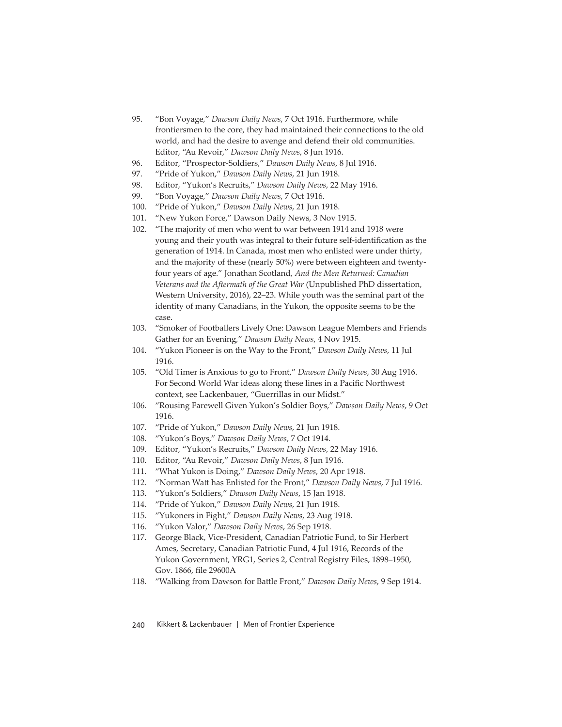- 95. "Bon Voyage," *Dawson Daily News*, 7 Oct 1916. Furthermore, while frontiersmen to the core, they had maintained their connections to the old world, and had the desire to avenge and defend their old communities. Editor, "Au Revoir," *Dawson Daily News*, 8 Jun 1916.
- 96. Editor, "Prospector-Soldiers," *Dawson Daily News*, 8 Jul 1916.
- 97. "Pride of Yukon," *Dawson Daily News*, 21 Jun 1918.
- 98. Editor, "Yukon's Recruits," *Dawson Daily News*, 22 May 1916.
- 99. "Bon Voyage," *Dawson Daily News*, 7 Oct 1916.
- 100. "Pride of Yukon," *Dawson Daily News*, 21 Jun 1918.
- 101. "New Yukon Force," Dawson Daily News, 3 Nov 1915.
- 102. "The majority of men who went to war between 1914 and 1918 were young and their youth was integral to their future self-identification as the generation of 1914. In Canada, most men who enlisted were under thirty, and the majority of these (nearly 50%) were between eighteen and twentyfour years of age." Jonathan Scotland, *And the Men Returned: Canadian Veterans and the Aftermath of the Great War* (Unpublished PhD dissertation, Western University, 2016), 22–23. While youth was the seminal part of the identity of many Canadians, in the Yukon, the opposite seems to be the case.
- 103. "Smoker of Footballers Lively One: Dawson League Members and Friends Gather for an Evening," *Dawson Daily News*, 4 Nov 1915.
- 104. "Yukon Pioneer is on the Way to the Front," *Dawson Daily News*, 11 Jul 1916.
- 105. "Old Timer is Anxious to go to Front," *Dawson Daily News*, 30 Aug 1916. For Second World War ideas along these lines in a Pacific Northwest context, see Lackenbauer, "Guerrillas in our Midst."
- 106. "Rousing Farewell Given Yukon's Soldier Boys," *Dawson Daily News*, 9 Oct 1916.
- 107. "Pride of Yukon," *Dawson Daily News*, 21 Jun 1918.
- 108. "Yukon's Boys," *Dawson Daily News*, 7 Oct 1914.
- 109. Editor, "Yukon's Recruits," *Dawson Daily News*, 22 May 1916.
- 110. Editor, "Au Revoir," *Dawson Daily News*, 8 Jun 1916.
- 111. "What Yukon is Doing," *Dawson Daily News*, 20 Apr 1918.
- 112. "Norman Watt has Enlisted for the Front," *Dawson Daily News*, 7 Jul 1916.
- 113. "Yukon's Soldiers," *Dawson Daily News*, 15 Jan 1918.
- 114. "Pride of Yukon," *Dawson Daily News*, 21 Jun 1918.
- 115. "Yukoners in Fight," *Dawson Daily News*, 23 Aug 1918.
- 116. "Yukon Valor," *Dawson Daily News*, 26 Sep 1918.
- 117. George Black, Vice-President, Canadian Patriotic Fund, to Sir Herbert Ames, Secretary, Canadian Patriotic Fund, 4 Jul 1916, Records of the Yukon Government, YRG1, Series 2, Central Registry Files, 1898–1950, Gov. 1866, file 29600A
- 118. "Walking from Dawson for Battle Front," Dawson Daily News, 9 Sep 1914.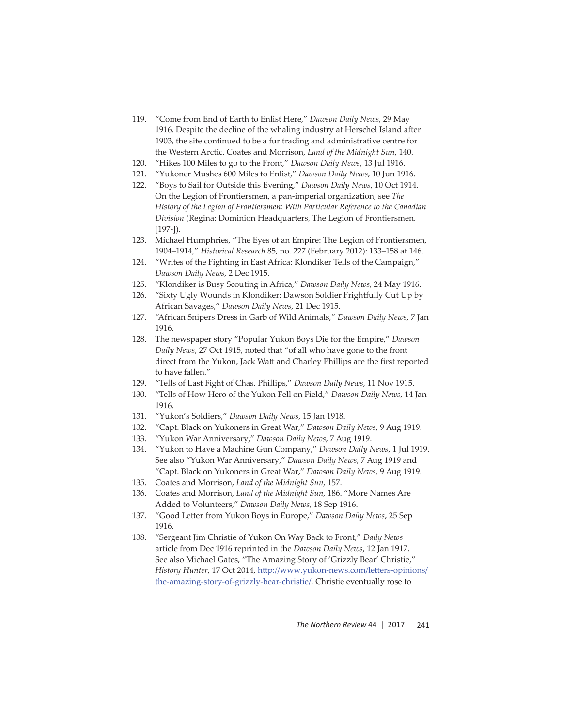- 119. "Come from End of Earth to Enlist Here," *Dawson Daily News*, 29 May 1916. Despite the decline of the whaling industry at Herschel Island after 1903, the site continued to be a fur trading and administrative centre for the Western Arctic. Coates and Morrison, *Land of the Midnight Sun*, 140.
- 120. "Hikes 100 Miles to go to the Front," *Dawson Daily News*, 13 Jul 1916.
- 121. "Yukoner Mushes 600 Miles to Enlist," *Dawson Daily News*, 10 Jun 1916.
- 122. "Boys to Sail for Outside this Evening," *Dawson Daily News*, 10 Oct 1914. On the Legion of Frontiersmen, a pan-imperial organization, see *The History of the Legion of Frontiersmen: With Particular Reference to the Canadian Division* (Regina: Dominion Headquarters, The Legion of Frontiersmen, [197-]).
- 123. Michael Humphries, "The Eyes of an Empire: The Legion of Frontiersmen, 1904–1914," *Historical Research* 85, no. 227 (February 2012): 133–158 at 146.
- 124. "Writes of the Fighting in East Africa: Klondiker Tells of the Campaign," *Dawson Daily News*, 2 Dec 1915.
- 125. "Klondiker is Busy Scouting in Africa," *Dawson Daily News*, 24 May 1916.
- 126. "Sixty Ugly Wounds in Klondiker: Dawson Soldier Frightfully Cut Up by African Savages," *Dawson Daily News*, 21 Dec 1915.
- 127. "African Snipers Dress in Garb of Wild Animals," *Dawson Daily News*, 7 Jan 1916.
- 128. The newspaper story "Popular Yukon Boys Die for the Empire," *Dawson Daily News*, 27 Oct 1915, noted that "of all who have gone to the front direct from the Yukon, Jack Watt and Charley Phillips are the first reported to have fallen."
- 129. "Tells of Last Fight of Chas. Phillips," *Dawson Daily News*, 11 Nov 1915.
- 130. "Tells of How Hero of the Yukon Fell on Field," *Dawson Daily News*, 14 Jan 1916.
- 131. "Yukon's Soldiers," *Dawson Daily News*, 15 Jan 1918.
- 132. "Capt. Black on Yukoners in Great War," *Dawson Daily News*, 9 Aug 1919.
- 133. "Yukon War Anniversary," *Dawson Daily News*, 7 Aug 1919.
- 134. "Yukon to Have a Machine Gun Company," *Dawson Daily News*, 1 Jul 1919. See also "Yukon War Anniversary," *Dawson Daily News*, 7 Aug 1919 and "Capt. Black on Yukoners in Great War," *Dawson Daily News*, 9 Aug 1919.
- 135. Coates and Morrison, *Land of the Midnight Sun*, 157.
- 136. Coates and Morrison, *Land of the Midnight Sun*, 186. "More Names Are Added to Volunteers," *Dawson Daily News*, 18 Sep 1916.
- 137. "Good Letter from Yukon Boys in Europe," Dawson Daily News, 25 Sep 1916.
- 138. "Sergeant Jim Christie of Yukon On Way Back to Front," *Daily News*  article from Dec 1916 reprinted in the *Dawson Daily News*, 12 Jan 1917. See also Michael Gates, "The Amazing Story of 'Grizzly Bear' Christie," History Hunter, 17 Oct 2014, http://www.yukon-news.com/letters-opinions/ the-amazing-story-of-grizzly-bear-christie/. Christie eventually rose to